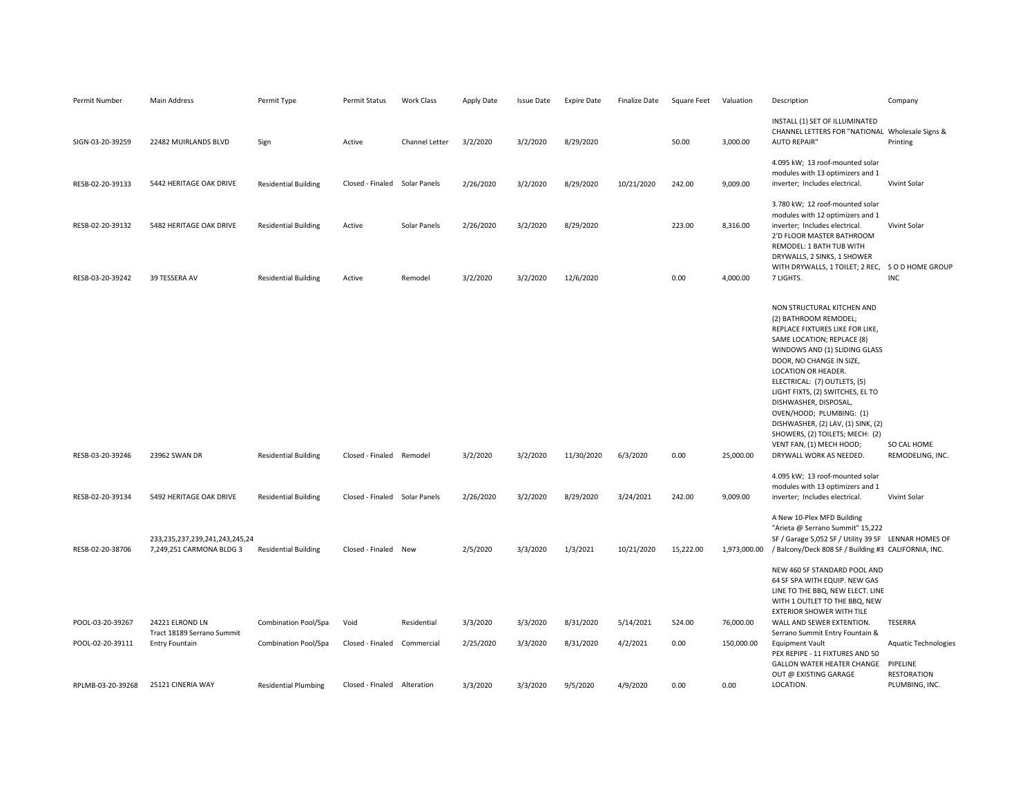| Permit Number     | Main Address                                                      | Permit Type                 | Permit Status                 | Work Class     | Apply Date | Issue Date | <b>Expire Date</b> | Finalize Date | Square Feet | Valuation    | Description                                                                                                                                                                                                                                                                                                                                                                                                                                                       | Company                                           |
|-------------------|-------------------------------------------------------------------|-----------------------------|-------------------------------|----------------|------------|------------|--------------------|---------------|-------------|--------------|-------------------------------------------------------------------------------------------------------------------------------------------------------------------------------------------------------------------------------------------------------------------------------------------------------------------------------------------------------------------------------------------------------------------------------------------------------------------|---------------------------------------------------|
| SIGN-03-20-39259  | 22482 MUIRLANDS BLVD                                              | Sign                        | Active                        | Channel Letter | 3/2/2020   | 3/2/2020   | 8/29/2020          |               | 50.00       | 3,000.00     | INSTALL (1) SET OF ILLUMINATED<br>CHANNEL LETTERS FOR "NATIONAL Wholesale Signs &<br><b>AUTO REPAIR"</b>                                                                                                                                                                                                                                                                                                                                                          | Printing                                          |
| RESB-02-20-39133  | 5442 HERITAGE OAK DRIVE                                           | <b>Residential Building</b> | Closed - Finaled Solar Panels |                | 2/26/2020  | 3/2/2020   | 8/29/2020          | 10/21/2020    | 242.00      | 9,009.00     | 4.095 kW; 13 roof-mounted solar<br>modules with 13 optimizers and 1<br>inverter; Includes electrical.                                                                                                                                                                                                                                                                                                                                                             | Vivint Solar                                      |
| RESB-02-20-39132  | 5482 HERITAGE OAK DRIVE                                           | <b>Residential Building</b> | Active                        | Solar Panels   | 2/26/2020  | 3/2/2020   | 8/29/2020          |               | 223.00      | 8,316.00     | 3.780 kW; 12 roof-mounted solar<br>modules with 12 optimizers and 1<br>inverter; Includes electrical.<br>2'D FLOOR MASTER BATHROOM<br>REMODEL: 1 BATH TUB WITH                                                                                                                                                                                                                                                                                                    | Vivint Solar                                      |
| RESB-03-20-39242  | 39 TESSERA AV                                                     | <b>Residential Building</b> | Active                        | Remodel        | 3/2/2020   | 3/2/2020   | 12/6/2020          |               | 0.00        | 4,000.00     | DRYWALLS, 2 SINKS, 1 SHOWER<br>WITH DRYWALLS, 1 TOILET; 2 REC, S O D HOME GROUP<br>7 LIGHTS.                                                                                                                                                                                                                                                                                                                                                                      | <b>INC</b>                                        |
| RESB-03-20-39246  | 23962 SWAN DR                                                     | <b>Residential Building</b> | Closed - Finaled Remodel      |                | 3/2/2020   | 3/2/2020   | 11/30/2020         | 6/3/2020      | 0.00        | 25,000.00    | NON STRUCTURAL KITCHEN AND<br>(2) BATHROOM REMODEL;<br>REPLACE FIXTURES LIKE FOR LIKE,<br>SAME LOCATION; REPLACE (8)<br>WINDOWS AND (1) SLIDING GLASS<br>DOOR, NO CHANGE IN SIZE,<br>LOCATION OR HEADER.<br>ELECTRICAL: (7) OUTLETS, (5)<br>LIGHT FIXTS, (2) SWITCHES, EL TO<br>DISHWASHER, DISPOSAL,<br>OVEN/HOOD; PLUMBING: (1)<br>DISHWASHER, (2) LAV, (1) SINK, (2)<br>SHOWERS, (2) TOILETS; MECH: (2)<br>VENT FAN, (1) MECH HOOD;<br>DRYWALL WORK AS NEEDED. | SO CAL HOME<br>REMODELING, INC.                   |
| RESB-02-20-39134  | 5492 HERITAGE OAK DRIVE                                           | <b>Residential Building</b> | Closed - Finaled Solar Panels |                | 2/26/2020  | 3/2/2020   | 8/29/2020          | 3/24/2021     | 242.00      | 9,009.00     | 4.095 kW; 13 roof-mounted solar<br>modules with 13 optimizers and 1<br>inverter; Includes electrical.                                                                                                                                                                                                                                                                                                                                                             | Vivint Solar                                      |
| RESB-02-20-38706  | 233, 235, 237, 239, 241, 243, 245, 24<br>7,249,251 CARMONA BLDG 3 | <b>Residential Building</b> | Closed - Finaled New          |                | 2/5/2020   | 3/3/2020   | 1/3/2021           | 10/21/2020    | 15,222.00   | 1,973,000.00 | A New 10-Plex MFD Building<br>"Arieta @ Serrano Summit" 15,222<br>SF / Garage 5,052 SF / Utility 39 SF LENNAR HOMES OF<br>/ Balcony/Deck 808 SF / Building #3 CALIFORNIA, INC.<br>NEW 460 SF STANDARD POOL AND<br>64 SF SPA WITH EQUIP. NEW GAS<br>LINE TO THE BBQ, NEW ELECT. LINE                                                                                                                                                                               |                                                   |
|                   |                                                                   |                             |                               |                |            |            |                    |               |             |              | WITH 1 OUTLET TO THE BBQ, NEW<br><b>EXTERIOR SHOWER WITH TILE</b>                                                                                                                                                                                                                                                                                                                                                                                                 |                                                   |
| POOL-03-20-39267  | 24221 ELROND LN<br>Tract 18189 Serrano Summit                     | Combination Pool/Spa        | Void                          | Residential    | 3/3/2020   | 3/3/2020   | 8/31/2020          | 5/14/2021     | 524.00      | 76,000.00    | WALL AND SEWER EXTENTION.<br>Serrano Summit Entry Fountain &                                                                                                                                                                                                                                                                                                                                                                                                      | TESERRA                                           |
| POOL-02-20-39111  | Entry Fountain                                                    | Combination Pool/Spa        | Closed - Finaled              | Commercial     | 2/25/2020  | 3/3/2020   | 8/31/2020          | 4/2/2021      | 0.00        | 150,000.00   | <b>Equipment Vault</b><br>PEX REPIPE - 11 FIXTURES AND 50<br>GALLON WATER HEATER CHANGE PIPELINE<br>OUT @ EXISTING GARAGE                                                                                                                                                                                                                                                                                                                                         | <b>Aquatic Technologies</b><br><b>RESTORATION</b> |
| RPLMB-03-20-39268 | 25121 CINERIA WAY                                                 | <b>Residential Plumbing</b> | Closed - Finaled              | Alteration     | 3/3/2020   | 3/3/2020   | 9/5/2020           | 4/9/2020      | 0.00        | 0.00         | LOCATION.                                                                                                                                                                                                                                                                                                                                                                                                                                                         | PLUMBING, INC.                                    |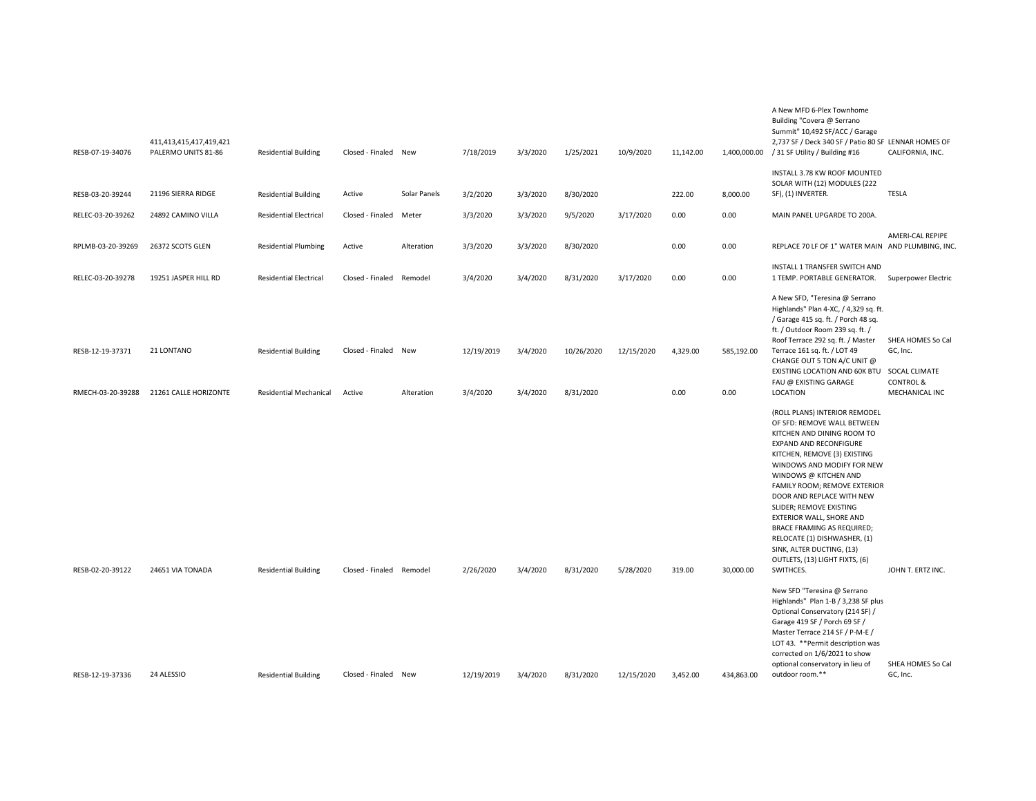| RESB-07-19-34076  | 411,413,415,417,419,421<br>PALERMO UNITS 81-86 | <b>Residential Building</b>   | Closed - Finaled New     |              | 7/18/2019  | 3/3/2020 | 1/25/2021  | 10/9/2020  | 11,142.00 |            | A New MFD 6-Plex Townhome<br>Building "Covera @ Serrano<br>Summit" 10,492 SF/ACC / Garage<br>2,737 SF / Deck 340 SF / Patio 80 SF LENNAR HOMES OF<br>1,400,000.00 / 31 SF Utility / Building #16                                                                                                                                                                                                                                                             | CALIFORNIA, INC.                       |
|-------------------|------------------------------------------------|-------------------------------|--------------------------|--------------|------------|----------|------------|------------|-----------|------------|--------------------------------------------------------------------------------------------------------------------------------------------------------------------------------------------------------------------------------------------------------------------------------------------------------------------------------------------------------------------------------------------------------------------------------------------------------------|----------------------------------------|
|                   |                                                |                               |                          |              |            |          |            |            |           |            | INSTALL 3.78 KW ROOF MOUNTED<br>SOLAR WITH (12) MODULES (222                                                                                                                                                                                                                                                                                                                                                                                                 |                                        |
| RESB-03-20-39244  | 21196 SIERRA RIDGE                             | <b>Residential Building</b>   | Active                   | Solar Panels | 3/2/2020   | 3/3/2020 | 8/30/2020  |            | 222.00    | 8,000.00   | SF), (1) INVERTER.                                                                                                                                                                                                                                                                                                                                                                                                                                           | <b>TESLA</b>                           |
| RELEC-03-20-39262 | 24892 CAMINO VILLA                             | <b>Residential Electrical</b> | Closed - Finaled         | Meter        | 3/3/2020   | 3/3/2020 | 9/5/2020   | 3/17/2020  | 0.00      | 0.00       | MAIN PANEL UPGARDE TO 200A.                                                                                                                                                                                                                                                                                                                                                                                                                                  |                                        |
| RPLMB-03-20-39269 | 26372 SCOTS GLEN                               | <b>Residential Plumbing</b>   | Active                   | Alteration   | 3/3/2020   | 3/3/2020 | 8/30/2020  |            | 0.00      | 0.00       | REPLACE 70 LF OF 1" WATER MAIN AND PLUMBING, INC.                                                                                                                                                                                                                                                                                                                                                                                                            | AMERI-CAL REPIPE                       |
| RELEC-03-20-39278 | 19251 JASPER HILL RD                           | <b>Residential Electrical</b> | Closed - Finaled         | Remodel      | 3/4/2020   | 3/4/2020 | 8/31/2020  | 3/17/2020  | 0.00      | 0.00       | INSTALL 1 TRANSFER SWITCH AND<br>1 TEMP. PORTABLE GENERATOR.                                                                                                                                                                                                                                                                                                                                                                                                 | Superpower Electric                    |
| RESB-12-19-37371  | 21 LONTANO                                     | <b>Residential Building</b>   | Closed - Finaled New     |              | 12/19/2019 | 3/4/2020 | 10/26/2020 | 12/15/2020 | 4,329.00  | 585,192.00 | A New SFD, "Teresina @ Serrano<br>Highlands" Plan 4-XC, / 4,329 sq. ft.<br>/ Garage 415 sq. ft. / Porch 48 sq.<br>ft. / Outdoor Room 239 sq. ft. /<br>Roof Terrace 292 sq. ft. / Master<br>Terrace 161 sq. ft. / LOT 49                                                                                                                                                                                                                                      | SHEA HOMES So Cal<br>GC, Inc.          |
|                   |                                                |                               |                          |              |            |          |            |            |           |            | CHANGE OUT 5 TON A/C UNIT @<br>EXISTING LOCATION AND 60K BTU<br>FAU @ EXISTING GARAGE                                                                                                                                                                                                                                                                                                                                                                        | SOCAL CLIMATE<br><b>CONTROL &amp;</b>  |
| RMECH-03-20-39288 | 21261 CALLE HORIZONTE                          | <b>Residential Mechanical</b> | Active                   | Alteration   | 3/4/2020   | 3/4/2020 | 8/31/2020  |            | 0.00      | 0.00       | LOCATION                                                                                                                                                                                                                                                                                                                                                                                                                                                     | MECHANICAL INC                         |
|                   |                                                |                               |                          |              |            |          |            |            |           |            | (ROLL PLANS) INTERIOR REMODEL<br>OF SFD: REMOVE WALL BETWEEN<br>KITCHEN AND DINING ROOM TO<br>EXPAND AND RECONFIGURE<br>KITCHEN, REMOVE (3) EXISTING<br>WINDOWS AND MODIFY FOR NEW<br>WINDOWS @ KITCHEN AND<br>FAMILY ROOM; REMOVE EXTERIOR<br>DOOR AND REPLACE WITH NEW<br>SLIDER; REMOVE EXISTING<br>EXTERIOR WALL, SHORE AND<br>BRACE FRAMING AS REQUIRED;<br>RELOCATE (1) DISHWASHER, (1)<br>SINK, ALTER DUCTING, (13)<br>OUTLETS, (13) LIGHT FIXTS, (6) |                                        |
| RESB-02-20-39122  | 24651 VIA TONADA                               | <b>Residential Building</b>   | Closed - Finaled Remodel |              | 2/26/2020  | 3/4/2020 | 8/31/2020  | 5/28/2020  | 319.00    | 30,000.00  | SWITHCES.<br>New SFD "Teresina @ Serrano<br>Highlands" Plan 1-B / 3,238 SF plus<br>Optional Conservatory (214 SF) /<br>Garage 419 SF / Porch 69 SF /<br>Master Terrace 214 SF / P-M-E /<br>LOT 43. ** Permit description was<br>corrected on 1/6/2021 to show<br>optional conservatory in lieu of                                                                                                                                                            | JOHN T. ERTZ INC.<br>SHEA HOMES So Cal |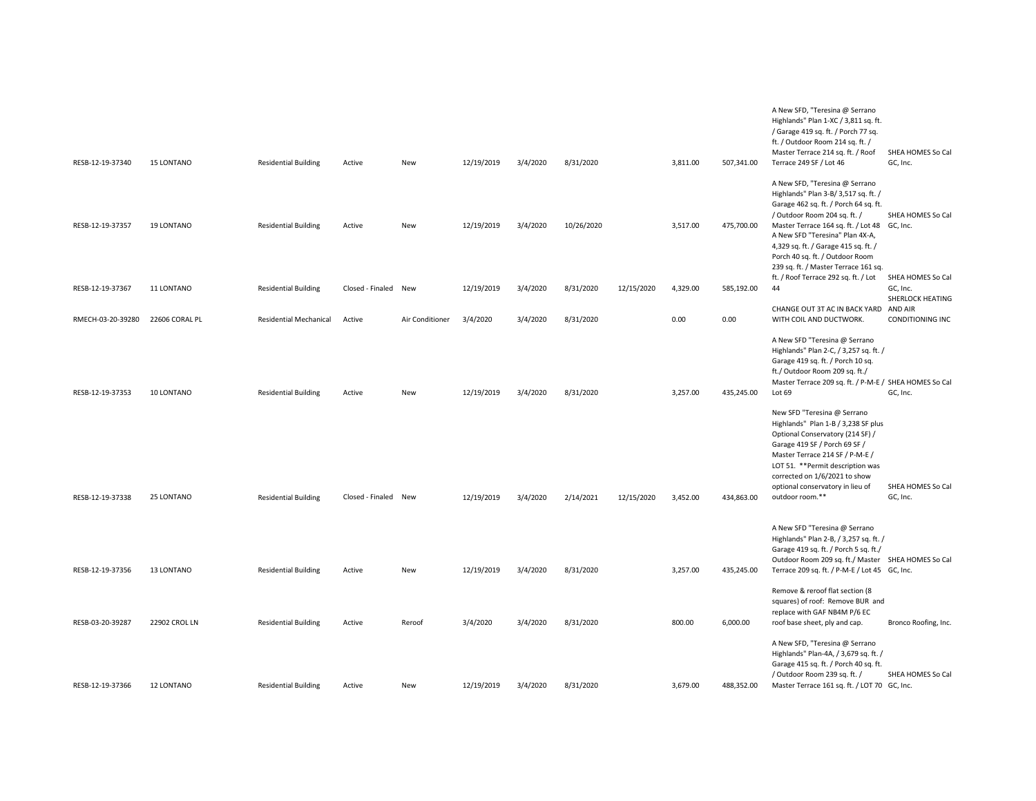| RESB-12-19-37340  | <b>15 LONTANO</b> | <b>Residential Building</b> | Active               | New             | 12/19/2019 | 3/4/2020 | 8/31/2020  |            | 3,811.00 | 507,341.00 | A New SFD, "Teresina @ Serrano<br>Highlands" Plan 1-XC / 3,811 sq. ft.<br>/ Garage 419 sq. ft. / Porch 77 sq.<br>ft. / Outdoor Room 214 sq. ft. /<br>Master Terrace 214 sq. ft. / Roof<br>Terrace 249 SF / Lot 46                                                                                                                                     | SHEA HOMES So Cal<br>GC, Inc.                     |
|-------------------|-------------------|-----------------------------|----------------------|-----------------|------------|----------|------------|------------|----------|------------|-------------------------------------------------------------------------------------------------------------------------------------------------------------------------------------------------------------------------------------------------------------------------------------------------------------------------------------------------------|---------------------------------------------------|
| RESB-12-19-37357  | 19 LONTANO        | <b>Residential Building</b> | Active               | New             | 12/19/2019 | 3/4/2020 | 10/26/2020 |            | 3,517.00 | 475,700.00 | A New SFD, "Teresina @ Serrano<br>Highlands" Plan 3-B/ 3,517 sq. ft. /<br>Garage 462 sq. ft. / Porch 64 sq. ft.<br>/ Outdoor Room 204 sq. ft. /<br>Master Terrace 164 sq. ft. / Lot 48 GC, Inc.<br>A New SFD "Teresina" Plan 4X-A,<br>4,329 sq. ft. / Garage 415 sq. ft. /<br>Porch 40 sq. ft. / Outdoor Room<br>239 sq. ft. / Master Terrace 161 sq. | SHEA HOMES So Cal                                 |
| RESB-12-19-37367  | 11 LONTANO        | <b>Residential Building</b> | Closed - Finaled New |                 | 12/19/2019 | 3/4/2020 | 8/31/2020  | 12/15/2020 | 4,329.00 | 585,192.00 | ft. / Roof Terrace 292 sq. ft. / Lot<br>44                                                                                                                                                                                                                                                                                                            | SHEA HOMES So Cal<br>GC, Inc.<br>SHERLOCK HEATING |
| RMECH-03-20-39280 | 22606 CORAL PL    | Residential Mechanical      | Active               | Air Conditioner | 3/4/2020   | 3/4/2020 | 8/31/2020  |            | 0.00     | 0.00       | CHANGE OUT 3T AC IN BACK YARD AND AIR<br>WITH COIL AND DUCTWORK.                                                                                                                                                                                                                                                                                      | CONDITIONING INC                                  |
| RESB-12-19-37353  | 10 LONTANO        | <b>Residential Building</b> | Active               | <b>New</b>      | 12/19/2019 | 3/4/2020 | 8/31/2020  |            | 3,257.00 | 435,245.00 | A New SFD "Teresina @ Serrano<br>Highlands" Plan 2-C, / 3,257 sq. ft. /<br>Garage 419 sq. ft. / Porch 10 sq.<br>ft./ Outdoor Room 209 sq. ft./<br>Master Terrace 209 sq. ft. / P-M-E / SHEA HOMES So Cal<br>Lot 69<br>New SFD "Teresina @ Serrano<br>Highlands" Plan 1-B / 3,238 SF plus                                                              | GC, Inc.                                          |
| RESB-12-19-37338  | 25 LONTANO        | <b>Residential Building</b> | Closed - Finaled New |                 | 12/19/2019 | 3/4/2020 | 2/14/2021  | 12/15/2020 | 3,452.00 | 434,863.00 | Optional Conservatory (214 SF) /<br>Garage 419 SF / Porch 69 SF /<br>Master Terrace 214 SF / P-M-E /<br>LOT 51. ** Permit description was<br>corrected on 1/6/2021 to show<br>optional conservatory in lieu of<br>outdoor room.**<br>A New SFD "Teresina @ Serrano                                                                                    | SHEA HOMES So Cal<br>GC, Inc.                     |
| RESB-12-19-37356  | 13 LONTANO        | <b>Residential Building</b> | Active               | New             | 12/19/2019 | 3/4/2020 | 8/31/2020  |            | 3,257.00 | 435,245.00 | Highlands" Plan 2-B, / 3,257 sq. ft. /<br>Garage 419 sq. ft. / Porch 5 sq. ft./<br>Outdoor Room 209 sq. ft./ Master SHEA HOMES So Cal<br>Terrace 209 sq. ft. / P-M-E / Lot 45 GC, Inc.                                                                                                                                                                |                                                   |
| RESB-03-20-39287  | 22902 CROL LN     | <b>Residential Building</b> | Active               | Reroof          | 3/4/2020   | 3/4/2020 | 8/31/2020  |            | 800.00   | 6,000.00   | Remove & reroof flat section (8<br>squares) of roof: Remove BUR and<br>replace with GAF NB4M P/6 EC<br>roof base sheet, ply and cap.                                                                                                                                                                                                                  | Bronco Roofing, Inc.                              |
| RESB-12-19-37366  | 12 LONTANO        | <b>Residential Building</b> | Active               | New             | 12/19/2019 | 3/4/2020 | 8/31/2020  |            | 3.679.00 | 488,352.00 | A New SFD, "Teresina @ Serrano<br>Highlands" Plan-4A, / 3,679 sq. ft. /<br>Garage 415 sq. ft. / Porch 40 sq. ft.<br>/ Outdoor Room 239 sq. ft. /<br>Master Terrace 161 sq. ft. / LOT 70 GC, Inc.                                                                                                                                                      | SHEA HOMES So Cal                                 |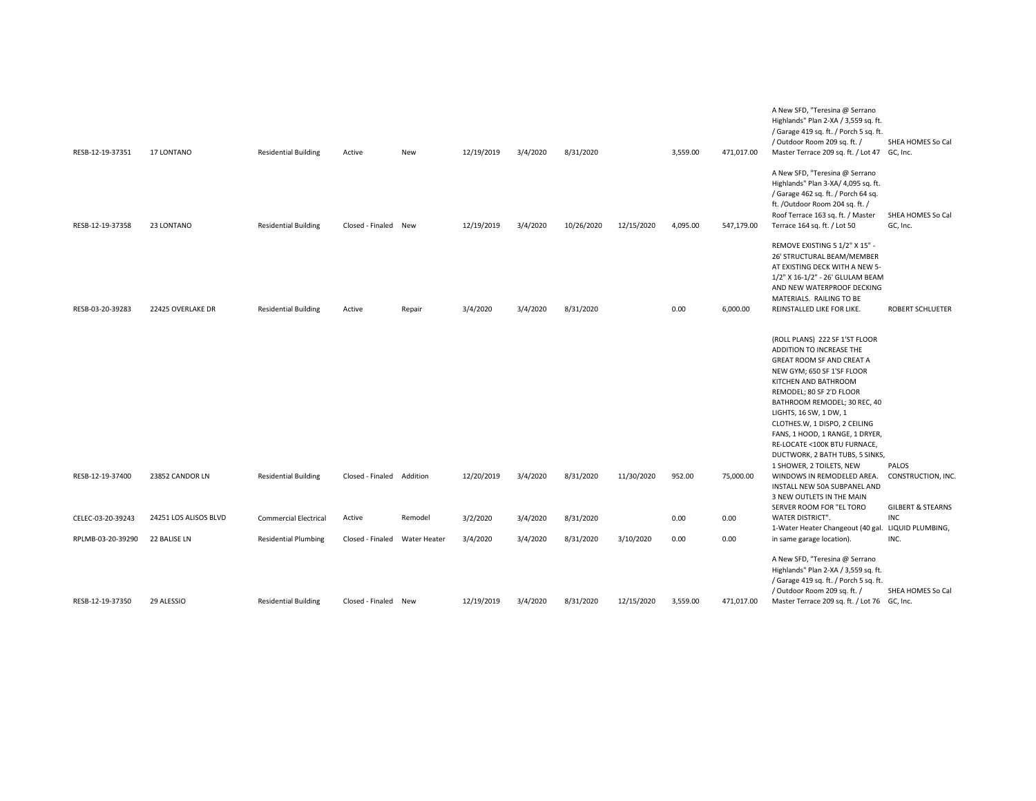| RESB-12-19-37351  | 17 LONTANO            | <b>Residential Building</b>  | Active                    | New          | 12/19/2019 | 3/4/2020 | 8/31/2020  |            | 3,559.00 | 471,017.00 | A New SFD, "Teresina @ Serrano<br>Highlands" Plan 2-XA / 3,559 sq. ft.<br>/ Garage 419 sq. ft. / Porch 5 sq. ft.<br>/ Outdoor Room 209 sq. ft. /<br>Master Terrace 209 sq. ft. / Lot 47 GC, Inc.                                                                                                                                                                                                       | SHEA HOMES So Cal                                  |
|-------------------|-----------------------|------------------------------|---------------------------|--------------|------------|----------|------------|------------|----------|------------|--------------------------------------------------------------------------------------------------------------------------------------------------------------------------------------------------------------------------------------------------------------------------------------------------------------------------------------------------------------------------------------------------------|----------------------------------------------------|
| RESB-12-19-37358  | 23 LONTANO            | <b>Residential Building</b>  | Closed - Finaled New      |              | 12/19/2019 | 3/4/2020 | 10/26/2020 | 12/15/2020 | 4,095.00 | 547,179.00 | A New SFD, "Teresina @ Serrano<br>Highlands" Plan 3-XA/ 4,095 sq. ft.<br>/ Garage 462 sq. ft. / Porch 64 sq.<br>ft. /Outdoor Room 204 sq. ft. /<br>Roof Terrace 163 sq. ft. / Master<br>Terrace 164 sq. ft. / Lot 50                                                                                                                                                                                   | SHEA HOMES So Cal<br>GC, Inc.                      |
| RESB-03-20-39283  | 22425 OVERLAKE DR     | <b>Residential Building</b>  | Active                    | Repair       | 3/4/2020   | 3/4/2020 | 8/31/2020  |            | 0.00     | 6,000.00   | REMOVE EXISTING 5 1/2" X 15" -<br>26' STRUCTURAL BEAM/MEMBER<br>AT EXISTING DECK WITH A NEW 5-<br>1/2" X 16-1/2" - 26' GLULAM BEAM<br>AND NEW WATERPROOF DECKING<br>MATERIALS. RAILING TO BE<br>REINSTALLED LIKE FOR LIKE.                                                                                                                                                                             | <b>ROBERT SCHLUETER</b>                            |
|                   |                       |                              |                           |              |            |          |            |            |          |            | (ROLL PLANS) 222 SF 1'ST FLOOR<br>ADDITION TO INCREASE THE<br>GREAT ROOM SF AND CREAT A<br>NEW GYM; 650 SF 1'SF FLOOR<br>KITCHEN AND BATHROOM<br>REMODEL; 80 SF 2'D FLOOR<br>BATHROOM REMODEL; 30 REC, 40<br>LIGHTS, 16 SW, 1 DW, 1<br>CLOTHES.W, 1 DISPO, 2 CEILING<br>FANS, 1 HOOD, 1 RANGE, 1 DRYER,<br>RE-LOCATE <100K BTU FURNACE,<br>DUCTWORK, 2 BATH TUBS, 5 SINKS,<br>1 SHOWER, 2 TOILETS, NEW | PALOS                                              |
| RESB-12-19-37400  | 23852 CANDOR LN       | <b>Residential Building</b>  | Closed - Finaled Addition |              | 12/20/2019 | 3/4/2020 | 8/31/2020  | 11/30/2020 | 952.00   | 75,000.00  | WINDOWS IN REMODELED AREA.<br>INSTALL NEW 50A SUBPANEL AND<br>3 NEW OUTLETS IN THE MAIN<br>SERVER ROOM FOR "EL TORO                                                                                                                                                                                                                                                                                    | CONSTRUCTION, INC.<br><b>GILBERT &amp; STEARNS</b> |
| CELEC-03-20-39243 | 24251 LOS ALISOS BLVD | <b>Commercial Electrical</b> | Active                    | Remodel      | 3/2/2020   | 3/4/2020 | 8/31/2020  |            | 0.00     | 0.00       | WATER DISTRICT".                                                                                                                                                                                                                                                                                                                                                                                       | <b>INC</b>                                         |
| RPLMB-03-20-39290 | 22 BALISE LN          | <b>Residential Plumbing</b>  | Closed - Finaled          | Water Heater | 3/4/2020   | 3/4/2020 | 8/31/2020  | 3/10/2020  | 0.00     | 0.00       | 1-Water Heater Changeout (40 gal. LIQUID PLUMBING,<br>in same garage location).                                                                                                                                                                                                                                                                                                                        | INC.                                               |
|                   |                       |                              |                           |              |            |          |            |            |          |            | A New SFD, "Teresina @ Serrano<br>Highlands" Plan 2-XA / 3,559 sq. ft.<br>/ Garage 419 sq. ft. / Porch 5 sq. ft.<br>/ Outdoor Room 209 sq. ft. /                                                                                                                                                                                                                                                       | SHEA HOMES So Cal                                  |
| RESB-12-19-37350  | 29 ALESSIO            | <b>Residential Building</b>  | Closed - Finaled New      |              | 12/19/2019 | 3/4/2020 | 8/31/2020  | 12/15/2020 | 3,559.00 | 471,017.00 | Master Terrace 209 sq. ft. / Lot 76 GC, Inc.                                                                                                                                                                                                                                                                                                                                                           |                                                    |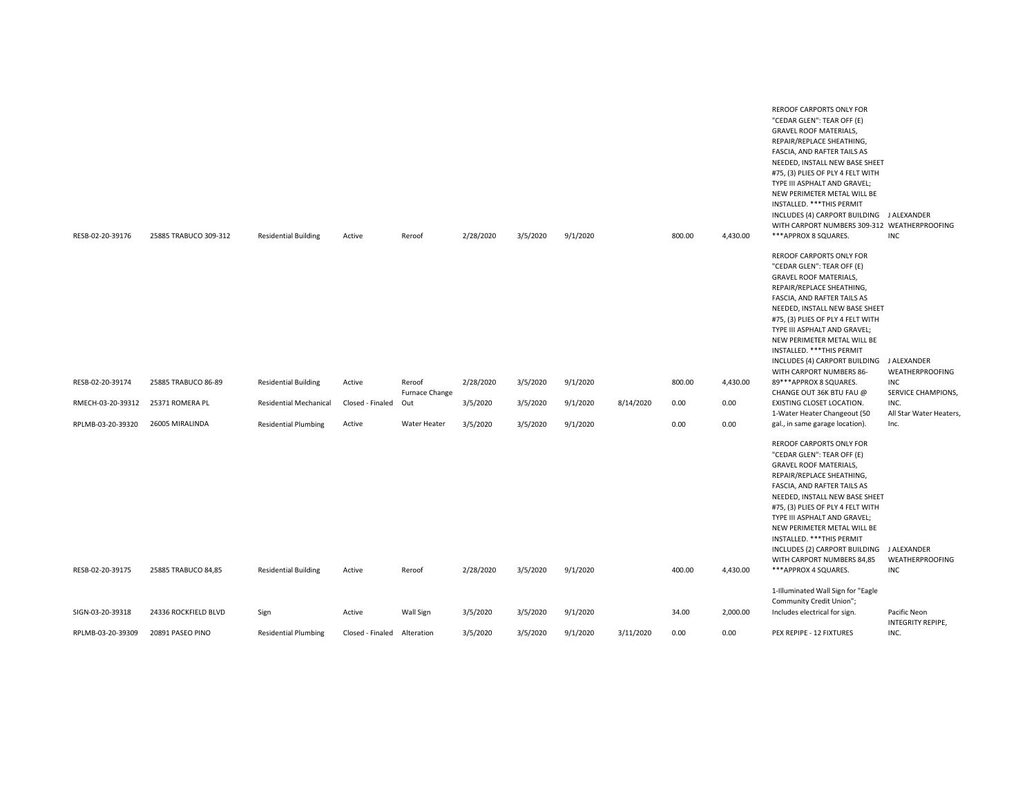| RESB-02-20-39176  | 25885 TRABUCO 309-312 | <b>Residential Building</b>   | Active                      | Reroof         | 2/28/2020 | 3/5/2020 | 9/1/2020 |           | 800.00 | 4,430.00 | REROOF CARPORTS ONLY FOR<br>"CEDAR GLEN": TEAR OFF (E)<br><b>GRAVEL ROOF MATERIALS,</b><br>REPAIR/REPLACE SHEATHING,<br>FASCIA, AND RAFTER TAILS AS<br>NEEDED, INSTALL NEW BASE SHEET<br>#75, (3) PLIES OF PLY 4 FELT WITH<br>TYPE III ASPHALT AND GRAVEL;<br>NEW PERIMETER METAL WILL BE<br>INSTALLED. *** THIS PERMIT<br>INCLUDES (4) CARPORT BUILDING J ALEXANDER<br>WITH CARPORT NUMBERS 309-312 WEATHERPROOFING<br>***APPROX 8 SQUARES. | <b>INC</b>                            |
|-------------------|-----------------------|-------------------------------|-----------------------------|----------------|-----------|----------|----------|-----------|--------|----------|----------------------------------------------------------------------------------------------------------------------------------------------------------------------------------------------------------------------------------------------------------------------------------------------------------------------------------------------------------------------------------------------------------------------------------------------|---------------------------------------|
|                   |                       |                               |                             |                |           |          |          |           |        |          | REROOF CARPORTS ONLY FOR<br>"CEDAR GLEN": TEAR OFF (E)                                                                                                                                                                                                                                                                                                                                                                                       |                                       |
|                   |                       |                               |                             |                |           |          |          |           |        |          | <b>GRAVEL ROOF MATERIALS,</b>                                                                                                                                                                                                                                                                                                                                                                                                                |                                       |
|                   |                       |                               |                             |                |           |          |          |           |        |          | REPAIR/REPLACE SHEATHING,<br>FASCIA, AND RAFTER TAILS AS                                                                                                                                                                                                                                                                                                                                                                                     |                                       |
|                   |                       |                               |                             |                |           |          |          |           |        |          | NEEDED, INSTALL NEW BASE SHEET                                                                                                                                                                                                                                                                                                                                                                                                               |                                       |
|                   |                       |                               |                             |                |           |          |          |           |        |          | #75, (3) PLIES OF PLY 4 FELT WITH<br>TYPE III ASPHALT AND GRAVEL;                                                                                                                                                                                                                                                                                                                                                                            |                                       |
|                   |                       |                               |                             |                |           |          |          |           |        |          | NEW PERIMETER METAL WILL BE<br>INSTALLED. *** THIS PERMIT                                                                                                                                                                                                                                                                                                                                                                                    |                                       |
|                   |                       |                               |                             |                |           |          |          |           |        |          | INCLUDES (4) CARPORT BUILDING J ALEXANDER                                                                                                                                                                                                                                                                                                                                                                                                    |                                       |
| RESB-02-20-39174  | 25885 TRABUCO 86-89   | <b>Residential Building</b>   | Active                      | Reroof         | 2/28/2020 | 3/5/2020 | 9/1/2020 |           | 800.00 | 4,430.00 | WITH CARPORT NUMBERS 86-<br>89***APPROX 8 SQUARES.                                                                                                                                                                                                                                                                                                                                                                                           | <b>WEATHERPROOFING</b><br><b>INC</b>  |
|                   |                       |                               |                             | Furnace Change |           |          |          |           |        |          | CHANGE OUT 36K BTU FAU @                                                                                                                                                                                                                                                                                                                                                                                                                     | <b>SERVICE CHAMPIONS</b>              |
| RMECH-03-20-39312 | 25371 ROMERA PL       | <b>Residential Mechanical</b> | Closed - Finaled            | Out            | 3/5/2020  | 3/5/2020 | 9/1/2020 | 8/14/2020 | 0.00   | 0.00     | EXISTING CLOSET LOCATION.<br>1-Water Heater Changeout (50                                                                                                                                                                                                                                                                                                                                                                                    | INC.<br>All Star Water Heaters,       |
| RPLMB-03-20-39320 | 26005 MIRALINDA       | <b>Residential Plumbing</b>   | Active                      | Water Heater   | 3/5/2020  | 3/5/2020 | 9/1/2020 |           | 0.00   | 0.00     | gal., in same garage location).                                                                                                                                                                                                                                                                                                                                                                                                              | Inc.                                  |
| RESB-02-20-39175  | 25885 TRABUCO 84,85   | <b>Residential Building</b>   | Active                      | Reroof         | 2/28/2020 | 3/5/2020 | 9/1/2020 |           | 400.00 | 4,430.00 | REROOF CARPORTS ONLY FOR<br>"CEDAR GLEN": TEAR OFF (E)<br><b>GRAVEL ROOF MATERIALS,</b><br>REPAIR/REPLACE SHEATHING,<br>FASCIA, AND RAFTER TAILS AS<br>NEEDED, INSTALL NEW BASE SHEET<br>#75, (3) PLIES OF PLY 4 FELT WITH<br>TYPE III ASPHALT AND GRAVEL;<br>NEW PERIMETER METAL WILL BE<br>INSTALLED. *** THIS PERMIT<br>INCLUDES (2) CARPORT BUILDING<br>WITH CARPORT NUMBERS 84,85<br>***APPROX 4 SQUARES.                               | J ALEXANDER<br>WEATHERPROOFING<br>INC |
|                   |                       |                               |                             |                |           |          |          |           |        |          | 1-Illuminated Wall Sign for "Eagle                                                                                                                                                                                                                                                                                                                                                                                                           |                                       |
|                   |                       |                               |                             |                |           |          |          |           |        |          | Community Credit Union";                                                                                                                                                                                                                                                                                                                                                                                                                     |                                       |
| SIGN-03-20-39318  | 24336 ROCKFIELD BLVD  | Sign                          | Active                      | Wall Sign      | 3/5/2020  | 3/5/2020 | 9/1/2020 |           | 34.00  | 2,000.00 | Includes electrical for sign.                                                                                                                                                                                                                                                                                                                                                                                                                | Pacific Neon<br>INTEGRITY REPIPE,     |
| RPLMB-03-20-39309 | 20891 PASEO PINO      | <b>Residential Plumbing</b>   | Closed - Finaled Alteration |                | 3/5/2020  | 3/5/2020 | 9/1/2020 | 3/11/2020 | 0.00   | 0.00     | PEX REPIPE - 12 FIXTURES                                                                                                                                                                                                                                                                                                                                                                                                                     | INC.                                  |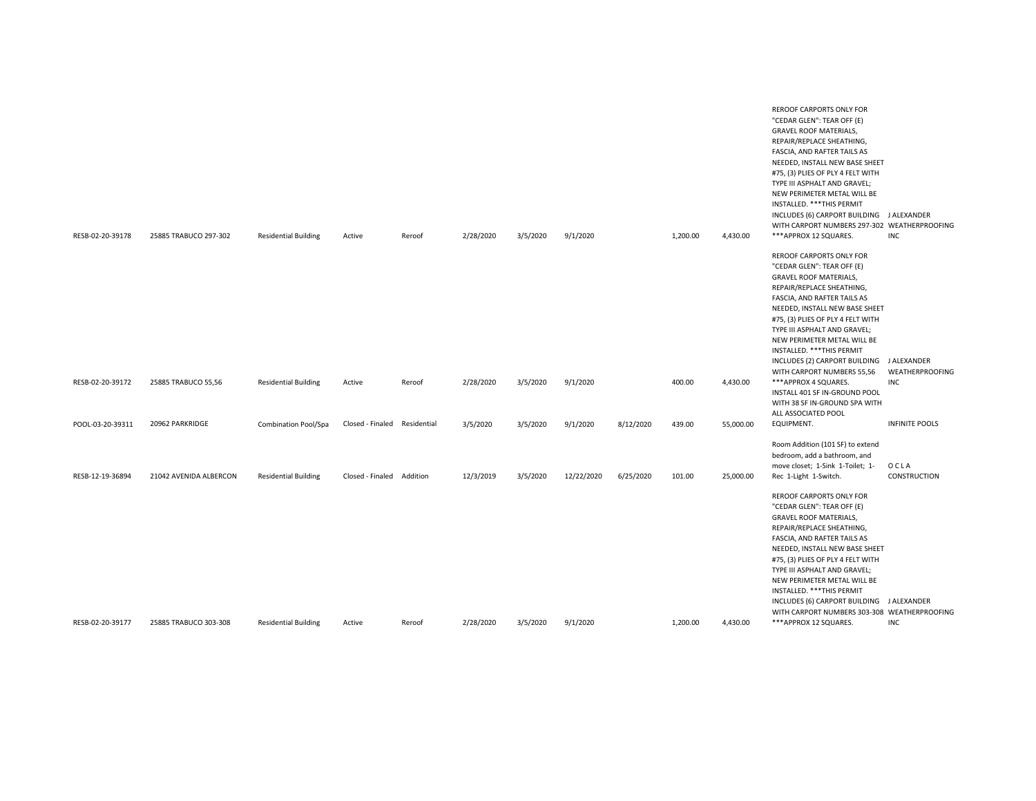| RESB-02-20-39178 | 25885 TRABUCO 297-302  | <b>Residential Building</b> | Active                       | Reroof | 2/28/2020 | 3/5/2020 | 9/1/2020   |           | 1,200.00 | 4,430.00  | REROOF CARPORTS ONLY FOR<br>"CEDAR GLEN": TEAR OFF (E)<br><b>GRAVEL ROOF MATERIALS,</b><br>REPAIR/REPLACE SHEATHING,<br>FASCIA, AND RAFTER TAILS AS<br>NEEDED, INSTALL NEW BASE SHEET<br>#75, (3) PLIES OF PLY 4 FELT WITH<br>TYPE III ASPHALT AND GRAVEL;<br>NEW PERIMETER METAL WILL BE<br>INSTALLED. *** THIS PERMIT<br>INCLUDES (6) CARPORT BUILDING J ALEXANDER<br>WITH CARPORT NUMBERS 297-302 WEATHERPROOFING<br>***APPROX 12 SQUARES. | <b>INC</b>             |
|------------------|------------------------|-----------------------------|------------------------------|--------|-----------|----------|------------|-----------|----------|-----------|-----------------------------------------------------------------------------------------------------------------------------------------------------------------------------------------------------------------------------------------------------------------------------------------------------------------------------------------------------------------------------------------------------------------------------------------------|------------------------|
|                  |                        |                             |                              |        |           |          |            |           |          |           | REROOF CARPORTS ONLY FOR<br>"CEDAR GLEN": TEAR OFF (E)<br><b>GRAVEL ROOF MATERIALS,</b><br>REPAIR/REPLACE SHEATHING,<br>FASCIA, AND RAFTER TAILS AS<br>NEEDED, INSTALL NEW BASE SHEET<br>#75, (3) PLIES OF PLY 4 FELT WITH<br>TYPE III ASPHALT AND GRAVEL;<br>NEW PERIMETER METAL WILL BE<br>INSTALLED. *** THIS PERMIT<br>INCLUDES (2) CARPORT BUILDING J ALEXANDER<br>WITH CARPORT NUMBERS 55,56                                            | <b>WEATHERPROOFING</b> |
| RESB-02-20-39172 | 25885 TRABUCO 55,56    | <b>Residential Building</b> | Active                       | Reroof | 2/28/2020 | 3/5/2020 | 9/1/2020   |           | 400.00   | 4,430.00  | ***APPROX 4 SQUARES.<br>INSTALL 401 SF IN-GROUND POOL<br>WITH 38 SF IN-GROUND SPA WITH                                                                                                                                                                                                                                                                                                                                                        | INC                    |
| POOL-03-20-39311 | 20962 PARKRIDGE        | <b>Combination Pool/Spa</b> | Closed - Finaled Residential |        | 3/5/2020  | 3/5/2020 | 9/1/2020   | 8/12/2020 | 439.00   | 55,000.00 | ALL ASSOCIATED POOL<br>EQUIPMENT.                                                                                                                                                                                                                                                                                                                                                                                                             | <b>INFINITE POOLS</b>  |
| RESB-12-19-36894 | 21042 AVENIDA ALBERCON | <b>Residential Building</b> | Closed - Finaled Addition    |        | 12/3/2019 | 3/5/2020 | 12/22/2020 | 6/25/2020 | 101.00   | 25,000.00 | Room Addition (101 SF) to extend<br>bedroom, add a bathroom, and<br>move closet; 1-Sink 1-Toilet; 1-<br>Rec 1-Light 1-Switch.                                                                                                                                                                                                                                                                                                                 | OCLA<br>CONSTRUCTION   |
| RESB-02-20-39177 | 25885 TRABUCO 303-308  | <b>Residential Building</b> | Active                       | Reroof | 2/28/2020 | 3/5/2020 | 9/1/2020   |           | 1,200.00 | 4,430.00  | REROOF CARPORTS ONLY FOR<br>"CEDAR GLEN": TEAR OFF (E)<br><b>GRAVEL ROOF MATERIALS,</b><br>REPAIR/REPLACE SHEATHING,<br>FASCIA, AND RAFTER TAILS AS<br>NEEDED, INSTALL NEW BASE SHEET<br>#75, (3) PLIES OF PLY 4 FELT WITH<br>TYPE III ASPHALT AND GRAVEL;<br>NEW PERIMETER METAL WILL BE<br>INSTALLED. *** THIS PERMIT<br>INCLUDES (6) CARPORT BUILDING J ALEXANDER<br>WITH CARPORT NUMBERS 303-308 WEATHERPROOFING<br>***APPROX 12 SQUARES. | <b>INC</b>             |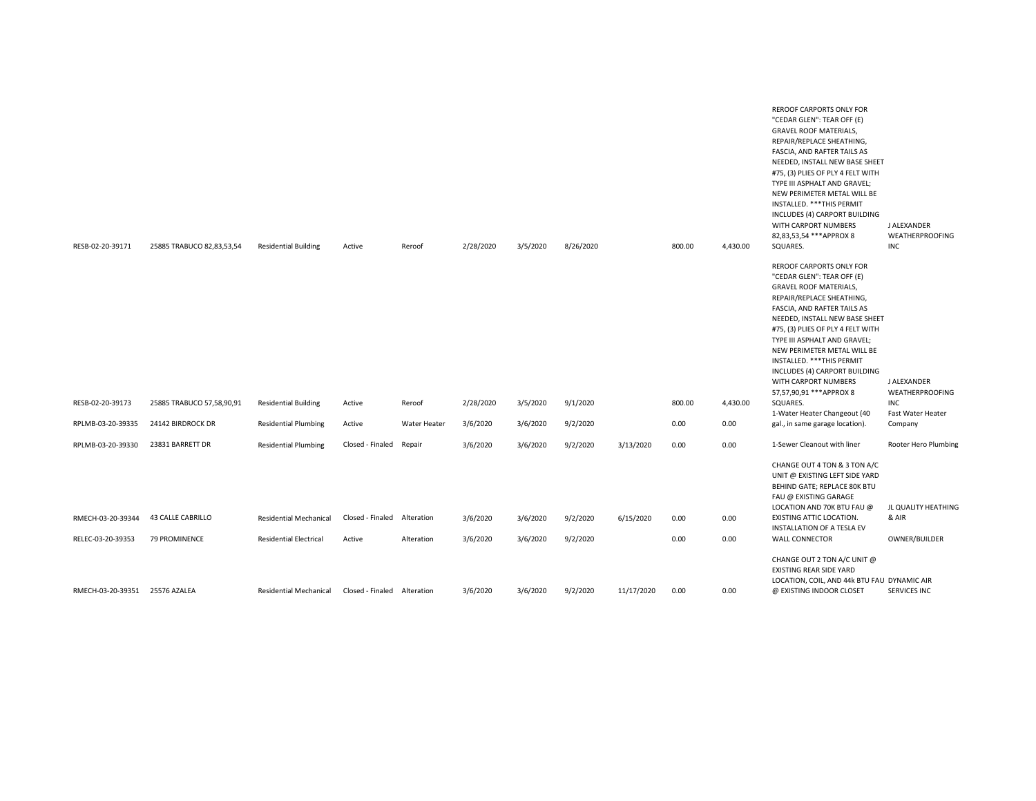| RESB-02-20-39171               | 25885 TRABUCO 82,83,53,54 | <b>Residential Building</b>   | Active                      | Reroof       | 2/28/2020 | 3/5/2020 | 8/26/2020 |            | 800.00 | 4,430.00 | REROOF CARPORTS ONLY FOR<br>"CEDAR GLEN": TEAR OFF (E)<br>GRAVEL ROOF MATERIALS,<br>REPAIR/REPLACE SHEATHING,<br>FASCIA, AND RAFTER TAILS AS<br>NEEDED, INSTALL NEW BASE SHEET<br>#75, (3) PLIES OF PLY 4 FELT WITH<br>TYPE III ASPHALT AND GRAVEL;<br>NEW PERIMETER METAL WILL BE<br>INSTALLED. *** THIS PERMIT<br>INCLUDES (4) CARPORT BUILDING<br>WITH CARPORT NUMBERS<br>82,83,53,54 *** APPROX 8<br>SQUARES.               | J ALEXANDER<br><b>WEATHERPROOFING</b><br><b>INC</b> |
|--------------------------------|---------------------------|-------------------------------|-----------------------------|--------------|-----------|----------|-----------|------------|--------|----------|---------------------------------------------------------------------------------------------------------------------------------------------------------------------------------------------------------------------------------------------------------------------------------------------------------------------------------------------------------------------------------------------------------------------------------|-----------------------------------------------------|
| RESB-02-20-39173               | 25885 TRABUCO 57,58,90,91 | <b>Residential Building</b>   | Active                      | Reroof       | 2/28/2020 | 3/5/2020 | 9/1/2020  |            | 800.00 | 4,430.00 | <b>REROOF CARPORTS ONLY FOR</b><br>"CEDAR GLEN": TEAR OFF (E)<br><b>GRAVEL ROOF MATERIALS,</b><br>REPAIR/REPLACE SHEATHING,<br>FASCIA, AND RAFTER TAILS AS<br>NEEDED, INSTALL NEW BASE SHEET<br>#75, (3) PLIES OF PLY 4 FELT WITH<br>TYPE III ASPHALT AND GRAVEL;<br>NEW PERIMETER METAL WILL BE<br>INSTALLED. *** THIS PERMIT<br>INCLUDES (4) CARPORT BUILDING<br>WITH CARPORT NUMBERS<br>57,57,90,91 *** APPROX 8<br>SQUARES. | J ALEXANDER<br><b>WEATHERPROOFING</b><br><b>INC</b> |
| RPLMB-03-20-39335              | 24142 BIRDROCK DR         | <b>Residential Plumbing</b>   | Active                      | Water Heater | 3/6/2020  | 3/6/2020 | 9/2/2020  |            | 0.00   | 0.00     | 1-Water Heater Changeout (40<br>gal., in same garage location).                                                                                                                                                                                                                                                                                                                                                                 | Fast Water Heater<br>Company                        |
|                                |                           |                               |                             |              |           |          |           |            |        |          |                                                                                                                                                                                                                                                                                                                                                                                                                                 |                                                     |
| RPLMB-03-20-39330              | 23831 BARRETT DR          | <b>Residential Plumbing</b>   | Closed - Finaled            | Repair       | 3/6/2020  | 3/6/2020 | 9/2/2020  | 3/13/2020  | 0.00   | 0.00     | 1-Sewer Cleanout with liner<br>CHANGE OUT 4 TON & 3 TON A/C<br>UNIT @ EXISTING LEFT SIDE YARD<br>BEHIND GATE; REPLACE 80K BTU<br>FAU @ EXISTING GARAGE<br>LOCATION AND 70K BTU FAU @                                                                                                                                                                                                                                            | Rooter Hero Plumbing<br>JL QUALITY HEATHING         |
| RMECH-03-20-39344              | 43 CALLE CABRILLO         | <b>Residential Mechanical</b> | Closed - Finaled            | Alteration   | 3/6/2020  | 3/6/2020 | 9/2/2020  | 6/15/2020  | 0.00   | 0.00     | EXISTING ATTIC LOCATION.<br>INSTALLATION OF A TESLA EV                                                                                                                                                                                                                                                                                                                                                                          | & AIR                                               |
| RELEC-03-20-39353              | 79 PROMINENCE             | <b>Residential Electrical</b> | Active                      | Alteration   | 3/6/2020  | 3/6/2020 | 9/2/2020  |            | 0.00   | 0.00     | <b>WALL CONNECTOR</b>                                                                                                                                                                                                                                                                                                                                                                                                           | OWNER/BUILDER                                       |
| RMECH-03-20-39351 25576 AZALEA |                           | <b>Residential Mechanical</b> | Closed - Finaled Alteration |              | 3/6/2020  | 3/6/2020 | 9/2/2020  | 11/17/2020 | 0.00   | 0.00     | CHANGE OUT 2 TON A/C UNIT @<br>EXISTING REAR SIDE YARD<br>LOCATION, COIL, AND 44k BTU FAU DYNAMIC AIR<br>@ EXISTING INDOOR CLOSET                                                                                                                                                                                                                                                                                               | SERVICES INC                                        |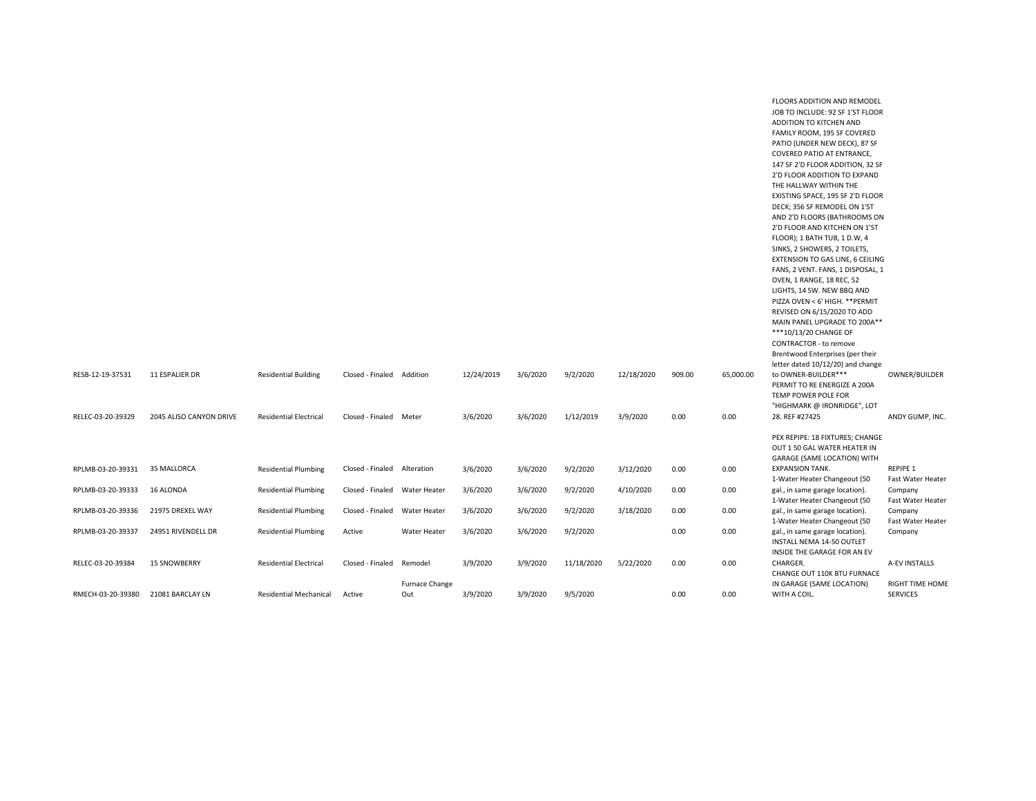|                   |                         |                               |                           |                     |            |          |            |            |        |           | FLOORS ADDITION AND REMODEL                                  |                   |
|-------------------|-------------------------|-------------------------------|---------------------------|---------------------|------------|----------|------------|------------|--------|-----------|--------------------------------------------------------------|-------------------|
|                   |                         |                               |                           |                     |            |          |            |            |        |           | JOB TO INCLUDE: 92 SF 1'ST FLOOR                             |                   |
|                   |                         |                               |                           |                     |            |          |            |            |        |           | ADDITION TO KITCHEN AND                                      |                   |
|                   |                         |                               |                           |                     |            |          |            |            |        |           | FAMILY ROOM, 195 SF COVERED                                  |                   |
|                   |                         |                               |                           |                     |            |          |            |            |        |           | PATIO (UNDER NEW DECK), 87 SF                                |                   |
|                   |                         |                               |                           |                     |            |          |            |            |        |           | COVERED PATIO AT ENTRANCE,                                   |                   |
|                   |                         |                               |                           |                     |            |          |            |            |        |           | 147 SF 2'D FLOOR ADDITION, 32 SF                             |                   |
|                   |                         |                               |                           |                     |            |          |            |            |        |           | 2'D FLOOR ADDITION TO EXPAND                                 |                   |
|                   |                         |                               |                           |                     |            |          |            |            |        |           | THE HALLWAY WITHIN THE                                       |                   |
|                   |                         |                               |                           |                     |            |          |            |            |        |           | EXISTING SPACE, 195 SF 2'D FLOOR                             |                   |
|                   |                         |                               |                           |                     |            |          |            |            |        |           | DECK; 356 SF REMODEL ON 1'ST                                 |                   |
|                   |                         |                               |                           |                     |            |          |            |            |        |           | AND 2'D FLOORS (BATHROOMS ON                                 |                   |
|                   |                         |                               |                           |                     |            |          |            |            |        |           | 2'D FLOOR AND KITCHEN ON 1'ST                                |                   |
|                   |                         |                               |                           |                     |            |          |            |            |        |           | FLOOR); 1 BATH TUB, 1 D.W, 4                                 |                   |
|                   |                         |                               |                           |                     |            |          |            |            |        |           | SINKS, 2 SHOWERS, 2 TOILETS,                                 |                   |
|                   |                         |                               |                           |                     |            |          |            |            |        |           | EXTENSION TO GAS LINE, 6 CEILING                             |                   |
|                   |                         |                               |                           |                     |            |          |            |            |        |           | FANS, 2 VENT. FANS, 1 DISPOSAL, 1                            |                   |
|                   |                         |                               |                           |                     |            |          |            |            |        |           | OVEN, 1 RANGE, 18 REC, 52                                    |                   |
|                   |                         |                               |                           |                     |            |          |            |            |        |           | LIGHTS, 14 SW. NEW BBQ AND                                   |                   |
|                   |                         |                               |                           |                     |            |          |            |            |        |           | PIZZA OVEN < 6' HIGH. ** PERMIT                              |                   |
|                   |                         |                               |                           |                     |            |          |            |            |        |           | REVISED ON 6/15/2020 TO ADD                                  |                   |
|                   |                         |                               |                           |                     |            |          |            |            |        |           | MAIN PANEL UPGRADE TO 200A**<br>***10/13/20 CHANGE OF        |                   |
|                   |                         |                               |                           |                     |            |          |            |            |        |           | CONTRACTOR - to remove                                       |                   |
|                   |                         |                               |                           |                     |            |          |            |            |        |           | Brentwood Enterprises (per their                             |                   |
|                   |                         |                               |                           |                     |            |          |            |            |        |           | letter dated 10/12/20) and change                            |                   |
| RESB-12-19-37531  | <b>11 ESPALIER DR</b>   | <b>Residential Building</b>   | Closed - Finaled Addition |                     | 12/24/2019 | 3/6/2020 | 9/2/2020   | 12/18/2020 | 909.00 | 65,000.00 | to OWNER-BUILDER***                                          | OWNER/BUILDER     |
|                   |                         |                               |                           |                     |            |          |            |            |        |           | PERMIT TO RE ENERGIZE A 200A                                 |                   |
|                   |                         |                               |                           |                     |            |          |            |            |        |           | TEMP POWER POLE FOR                                          |                   |
|                   |                         |                               |                           |                     |            |          |            |            |        |           | "HIGHMARK @ IRONRIDGE", LOT                                  |                   |
| RELEC-03-20-39329 | 2045 ALISO CANYON DRIVE | <b>Residential Electrical</b> | Closed - Finaled Meter    |                     | 3/6/2020   | 3/6/2020 | 1/12/2019  | 3/9/2020   | 0.00   | 0.00      | 28. REF #27425                                               | ANDY GUMP, INC.   |
|                   |                         |                               |                           |                     |            |          |            |            |        |           |                                                              |                   |
|                   |                         |                               |                           |                     |            |          |            |            |        |           | PEX REPIPE: 18 FIXTURES; CHANGE                              |                   |
|                   |                         |                               |                           |                     |            |          |            |            |        |           | OUT 1 50 GAL WATER HEATER IN                                 |                   |
|                   |                         |                               |                           |                     |            |          |            |            |        |           | GARAGE (SAME LOCATION) WITH                                  |                   |
| RPLMB-03-20-39331 | 35 MALLORCA             | <b>Residential Plumbing</b>   | Closed - Finaled          | Alteration          | 3/6/2020   | 3/6/2020 | 9/2/2020   | 3/12/2020  | 0.00   | 0.00      | <b>EXPANSION TANK.</b>                                       | REPIPE 1          |
|                   |                         |                               |                           |                     |            |          |            |            |        |           | 1-Water Heater Changeout (50                                 | Fast Water Heater |
| RPLMB-03-20-39333 | 16 ALONDA               | <b>Residential Plumbing</b>   | Closed - Finaled          | Water Heater        | 3/6/2020   | 3/6/2020 | 9/2/2020   | 4/10/2020  | 0.00   | 0.00      | gal., in same garage location).                              | Company           |
|                   |                         |                               |                           |                     |            |          |            |            |        |           | 1-Water Heater Changeout (50                                 | Fast Water Heater |
| RPLMB-03-20-39336 | 21975 DREXEL WAY        | <b>Residential Plumbing</b>   | Closed - Finaled          | <b>Water Heater</b> | 3/6/2020   | 3/6/2020 | 9/2/2020   | 3/18/2020  | 0.00   | 0.00      | gal., in same garage location).                              | Company           |
|                   |                         |                               |                           |                     |            |          |            |            |        |           | 1-Water Heater Changeout (50                                 | Fast Water Heater |
| RPLMB-03-20-39337 | 24951 RIVENDELL DR      | <b>Residential Plumbing</b>   | Active                    | Water Heater        | 3/6/2020   | 3/6/2020 | 9/2/2020   |            | 0.00   | 0.00      | gal., in same garage location).<br>INSTALL NEMA 14-50 OUTLET | Company           |
|                   |                         |                               |                           |                     |            |          |            |            |        |           | INSIDE THE GARAGE FOR AN EV                                  |                   |
| RELEC-03-20-39384 | <b>15 SNOWBERRY</b>     | <b>Residential Electrical</b> | Closed - Finaled          | Remodel             | 3/9/2020   | 3/9/2020 | 11/18/2020 | 5/22/2020  | 0.00   | 0.00      | CHARGER.                                                     | A-EV INSTALLS     |
|                   |                         |                               |                           |                     |            |          |            |            |        |           | CHANGE OUT 110K BTU FURNACE                                  |                   |
|                   |                         |                               |                           | Furnace Change      |            |          |            |            |        |           | IN GARAGE (SAME LOCATION)                                    | RIGHT TIME HOME   |
| RMECH-03-20-39380 | 21081 BARCLAY LN        | <b>Residential Mechanical</b> | Active                    | Out                 | 3/9/2020   | 3/9/2020 | 9/5/2020   |            | 0.00   | 0.00      | WITH A COIL.                                                 | <b>SERVICES</b>   |
|                   |                         |                               |                           |                     |            |          |            |            |        |           |                                                              |                   |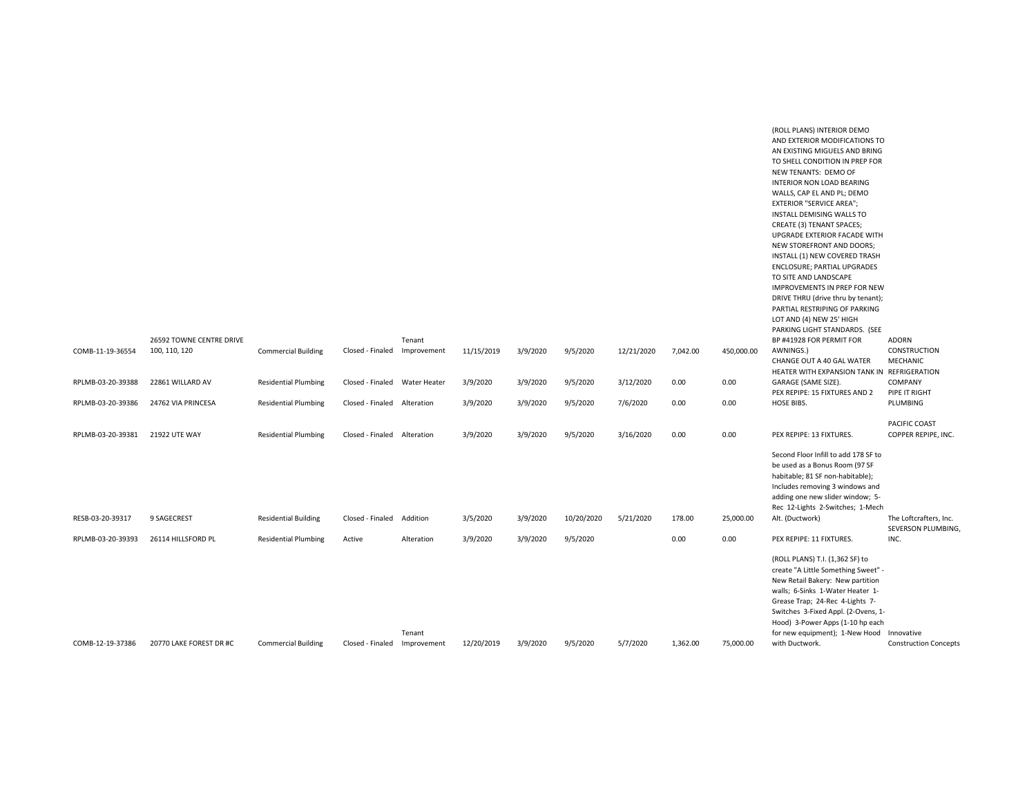|                   |                                           |                             |                               |             |            |          |            |            |          |            | (ROLL PLANS) INTERIOR DEMO<br>AND EXTERIOR MODIFICATIONS TO<br>AN EXISTING MIGUELS AND BRING<br>TO SHELL CONDITION IN PREP FOR<br>NEW TENANTS: DEMO OF<br>INTERIOR NON LOAD BEARING<br>WALLS, CAP EL AND PL; DEMO<br><b>EXTERIOR "SERVICE AREA";</b><br>INSTALL DEMISING WALLS TO<br>CREATE (3) TENANT SPACES;<br>UPGRADE EXTERIOR FACADE WITH<br>NEW STOREFRONT AND DOORS;<br>INSTALL (1) NEW COVERED TRASH<br>ENCLOSURE; PARTIAL UPGRADES<br>TO SITE AND LANDSCAPE |                                              |
|-------------------|-------------------------------------------|-----------------------------|-------------------------------|-------------|------------|----------|------------|------------|----------|------------|----------------------------------------------------------------------------------------------------------------------------------------------------------------------------------------------------------------------------------------------------------------------------------------------------------------------------------------------------------------------------------------------------------------------------------------------------------------------|----------------------------------------------|
|                   |                                           |                             |                               |             |            |          |            |            |          |            | <b>IMPROVEMENTS IN PREP FOR NEW</b><br>DRIVE THRU (drive thru by tenant);                                                                                                                                                                                                                                                                                                                                                                                            |                                              |
|                   |                                           |                             |                               |             |            |          |            |            |          |            | PARTIAL RESTRIPING OF PARKING<br>LOT AND (4) NEW 25' HIGH<br>PARKING LIGHT STANDARDS. (SEE                                                                                                                                                                                                                                                                                                                                                                           |                                              |
| COMB-11-19-36554  | 26592 TOWNE CENTRE DRIVE<br>100, 110, 120 | <b>Commercial Building</b>  | Closed - Finaled Improvement  | Tenant      | 11/15/2019 | 3/9/2020 | 9/5/2020   | 12/21/2020 | 7,042.00 | 450,000.00 | BP #41928 FOR PERMIT FOR<br>AWNINGS.)<br>CHANGE OUT A 40 GAL WATER                                                                                                                                                                                                                                                                                                                                                                                                   | ADORN<br>CONSTRUCTION<br>MECHANIC            |
| RPLMB-03-20-39388 | 22861 WILLARD AV                          | <b>Residential Plumbing</b> | Closed - Finaled Water Heater |             | 3/9/2020   | 3/9/2020 | 9/5/2020   | 3/12/2020  | 0.00     | 0.00       | HEATER WITH EXPANSION TANK IN REFRIGERATION<br>GARAGE (SAME SIZE).<br>PEX REPIPE: 15 FIXTURES AND 2                                                                                                                                                                                                                                                                                                                                                                  | COMPANY<br>PIPE IT RIGHT                     |
| RPLMB-03-20-39386 | 24762 VIA PRINCESA                        | <b>Residential Plumbing</b> | Closed - Finaled Alteration   |             | 3/9/2020   | 3/9/2020 | 9/5/2020   | 7/6/2020   | 0.00     | 0.00       | HOSE BIBS.                                                                                                                                                                                                                                                                                                                                                                                                                                                           | PLUMBING                                     |
| RPLMB-03-20-39381 | <b>21922 UTE WAY</b>                      | <b>Residential Plumbing</b> | Closed - Finaled              | Alteration  | 3/9/2020   | 3/9/2020 | 9/5/2020   | 3/16/2020  | 0.00     | 0.00       | PEX REPIPE: 13 FIXTURES.                                                                                                                                                                                                                                                                                                                                                                                                                                             | PACIFIC COAST<br>COPPER REPIPE, INC.         |
|                   |                                           |                             |                               |             |            |          |            |            |          |            | Second Floor Infill to add 178 SF to<br>be used as a Bonus Room (97 SF<br>habitable; 81 SF non-habitable);<br>Includes removing 3 windows and<br>adding one new slider window; 5-<br>Rec 12-Lights 2-Switches; 1-Mech                                                                                                                                                                                                                                                |                                              |
| RESB-03-20-39317  | 9 SAGECREST                               | <b>Residential Building</b> | Closed - Finaled              | Addition    | 3/5/2020   | 3/9/2020 | 10/20/2020 | 5/21/2020  | 178.00   | 25,000.00  | Alt. (Ductwork)                                                                                                                                                                                                                                                                                                                                                                                                                                                      | The Loftcrafters, Inc.<br>SEVERSON PLUMBING, |
| RPLMB-03-20-39393 | 26114 HILLSFORD PL                        | <b>Residential Plumbing</b> | Active                        | Alteration  | 3/9/2020   | 3/9/2020 | 9/5/2020   |            | 0.00     | 0.00       | PEX REPIPE: 11 FIXTURES.                                                                                                                                                                                                                                                                                                                                                                                                                                             | INC.                                         |
|                   |                                           |                             |                               | Tenant      |            |          |            |            |          |            | (ROLL PLANS) T.I. (1,362 SF) to<br>create "A Little Something Sweet" -<br>New Retail Bakery: New partition<br>walls; 6-Sinks 1-Water Heater 1-<br>Grease Trap; 24-Rec 4-Lights 7-<br>Switches 3-Fixed Appl. (2-Ovens, 1-<br>Hood) 3-Power Apps (1-10 hp each<br>for new equipment); 1-New Hood Innovative                                                                                                                                                            |                                              |
| COMB-12-19-37386  | 20770 LAKE FOREST DR #C                   | <b>Commercial Building</b>  | Closed - Finaled              | Improvement | 12/20/2019 | 3/9/2020 | 9/5/2020   | 5/7/2020   | 1.362.00 | 75.000.00  | with Ductwork.                                                                                                                                                                                                                                                                                                                                                                                                                                                       | <b>Construction Concepts</b>                 |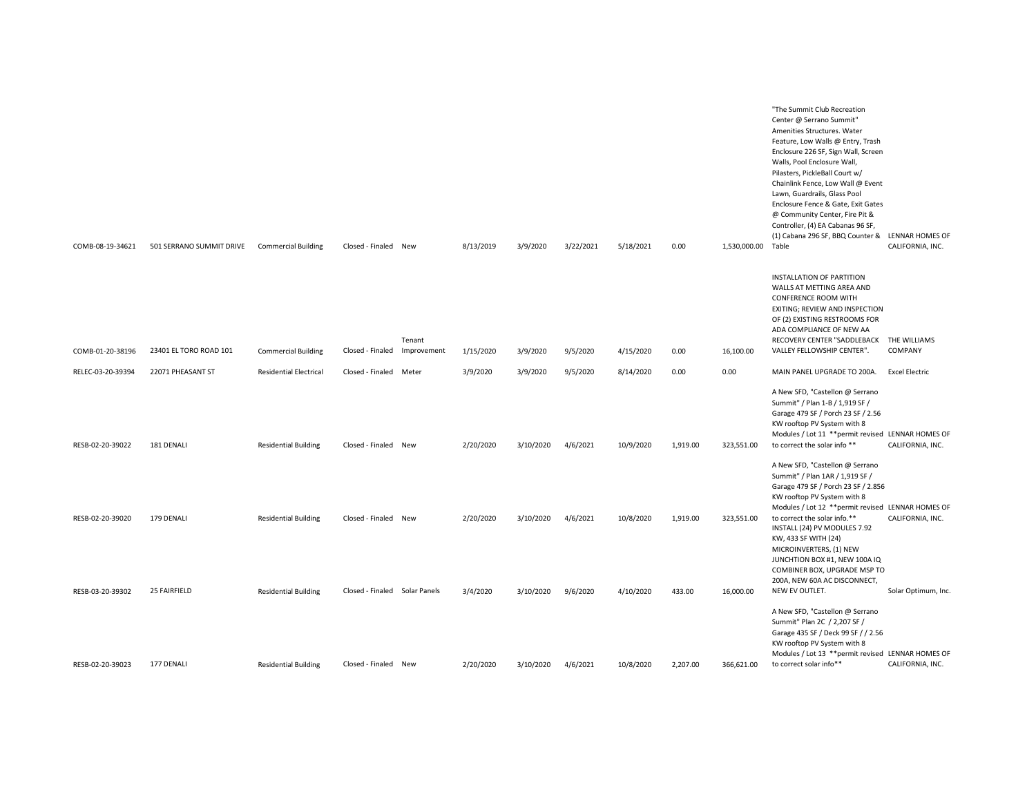| COMB-08-19-34621  | 501 SERRANO SUMMIT DRIVE | <b>Commercial Building</b>    | Closed - Finaled New          |                       | 8/13/2019 | 3/9/2020  | 3/22/2021 | 5/18/2021 | 0.00     | 1,530,000.00 | "The Summit Club Recreation<br>Center @ Serrano Summit"<br>Amenities Structures. Water<br>Feature, Low Walls @ Entry, Trash<br>Enclosure 226 SF, Sign Wall, Screen<br>Walls, Pool Enclosure Wall,<br>Pilasters, PickleBall Court w/<br>Chainlink Fence, Low Wall @ Event<br>Lawn, Guardrails, Glass Pool<br>Enclosure Fence & Gate, Exit Gates<br>@ Community Center, Fire Pit &<br>Controller, (4) EA Cabanas 96 SF,<br>(1) Cabana 296 SF, BBQ Counter & LENNAR HOMES OF<br>Table | CALIFORNIA, INC.      |
|-------------------|--------------------------|-------------------------------|-------------------------------|-----------------------|-----------|-----------|-----------|-----------|----------|--------------|------------------------------------------------------------------------------------------------------------------------------------------------------------------------------------------------------------------------------------------------------------------------------------------------------------------------------------------------------------------------------------------------------------------------------------------------------------------------------------|-----------------------|
| COMB-01-20-38196  | 23401 EL TORO ROAD 101   | <b>Commercial Building</b>    | Closed - Finaled              | Tenant<br>Improvement | 1/15/2020 | 3/9/2020  | 9/5/2020  | 4/15/2020 | 0.00     | 16,100.00    | INSTALLATION OF PARTITION<br>WALLS AT METTING AREA AND<br><b>CONFERENCE ROOM WITH</b><br>EXITING; REVIEW AND INSPECTION<br>OF (2) EXISTING RESTROOMS FOR<br>ADA COMPLIANCE OF NEW AA<br>RECOVERY CENTER "SADDLEBACK THE WILLIAMS<br>VALLEY FELLOWSHIP CENTER".                                                                                                                                                                                                                     | COMPANY               |
| RELEC-03-20-39394 | 22071 PHEASANT ST        | <b>Residential Electrical</b> | Closed - Finaled              | Meter                 | 3/9/2020  | 3/9/2020  | 9/5/2020  | 8/14/2020 | 0.00     | 0.00         | MAIN PANEL UPGRADE TO 200A.                                                                                                                                                                                                                                                                                                                                                                                                                                                        | <b>Excel Electric</b> |
| RESB-02-20-39022  | 181 DENALI               | <b>Residential Building</b>   | Closed - Finaled New          |                       | 2/20/2020 | 3/10/2020 | 4/6/2021  | 10/9/2020 | 1,919.00 | 323,551.00   | A New SFD, "Castellon @ Serrano<br>Summit" / Plan 1-B / 1,919 SF /<br>Garage 479 SF / Porch 23 SF / 2.56<br>KW rooftop PV System with 8<br>Modules / Lot 11 ** permit revised LENNAR HOMES OF<br>to correct the solar info**                                                                                                                                                                                                                                                       | CALIFORNIA, INC.      |
| RESB-02-20-39020  | 179 DENALI               | <b>Residential Building</b>   | Closed - Finaled New          |                       | 2/20/2020 | 3/10/2020 | 4/6/2021  | 10/8/2020 | 1,919.00 | 323,551.00   | A New SFD, "Castellon @ Serrano<br>Summit" / Plan 1AR / 1,919 SF /<br>Garage 479 SF / Porch 23 SF / 2.856<br>KW rooftop PV System with 8<br>Modules / Lot 12 ** permit revised LENNAR HOMES OF<br>to correct the solar info.**                                                                                                                                                                                                                                                     | CALIFORNIA, INC.      |
| RESB-03-20-39302  | 25 FAIRFIELD             | <b>Residential Building</b>   | Closed - Finaled Solar Panels |                       | 3/4/2020  | 3/10/2020 | 9/6/2020  | 4/10/2020 | 433.00   | 16,000.00    | INSTALL (24) PV MODULES 7.92<br>KW, 433 SF WITH (24)<br>MICROINVERTERS, (1) NEW<br>JUNCHTION BOX #1, NEW 100A IQ<br>COMBINER BOX, UPGRADE MSP TO<br>200A, NEW 60A AC DISCONNECT,<br>NEW EV OUTLET.                                                                                                                                                                                                                                                                                 | Solar Optimum, Inc.   |
|                   |                          |                               |                               |                       |           |           |           |           |          |              | A New SFD, "Castellon @ Serrano<br>Summit" Plan 2C / 2,207 SF /<br>Garage 435 SF / Deck 99 SF / / 2.56<br>KW rooftop PV System with 8<br>Modules / Lot 13 ** permit revised LENNAR HOMES OF                                                                                                                                                                                                                                                                                        |                       |
| RESB-02-20-39023  | 177 DENALI               | <b>Residential Building</b>   | Closed - Finaled              | New                   | 2/20/2020 | 3/10/2020 | 4/6/2021  | 10/8/2020 | 2,207.00 | 366,621.00   | to correct solar info**                                                                                                                                                                                                                                                                                                                                                                                                                                                            | CALIFORNIA, INC.      |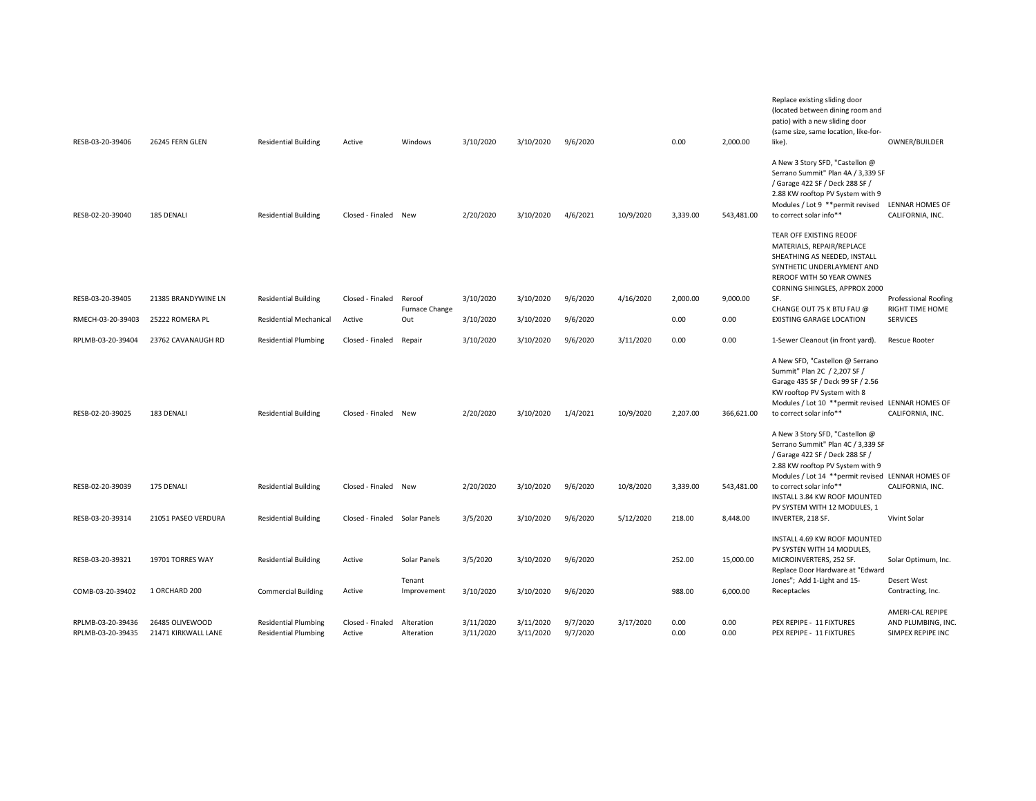| RESB-03-20-39406                       | 26245 FERN GLEN                        | <b>Residential Building</b>                                | Active                     | Windows                  | 3/10/2020              | 3/10/2020              | 9/6/2020             |           | 0.00         | 2,000.00     | Replace existing sliding door<br>(located between dining room and<br>patio) with a new sliding door<br>(same size, same location, like-for-<br>like).                                                                | OWNER/BUILDER                                  |
|----------------------------------------|----------------------------------------|------------------------------------------------------------|----------------------------|--------------------------|------------------------|------------------------|----------------------|-----------|--------------|--------------|----------------------------------------------------------------------------------------------------------------------------------------------------------------------------------------------------------------------|------------------------------------------------|
| RESB-02-20-39040                       | 185 DENALI                             | <b>Residential Building</b>                                | Closed - Finaled New       |                          | 2/20/2020              | 3/10/2020              | 4/6/2021             | 10/9/2020 | 3,339.00     | 543,481.00   | A New 3 Story SFD, "Castellon @<br>Serrano Summit" Plan 4A / 3,339 SF<br>/ Garage 422 SF / Deck 288 SF /<br>2.88 KW rooftop PV System with 9<br>Modules / Lot 9 ** permit revised<br>to correct solar info**         | LENNAR HOMES OF<br>CALIFORNIA, INC.            |
|                                        |                                        |                                                            |                            |                          |                        |                        |                      |           |              |              | TEAR OFF EXISTING REOOF<br>MATERIALS, REPAIR/REPLACE<br>SHEATHING AS NEEDED, INSTALL<br>SYNTHETIC UNDERLAYMENT AND<br>REROOF WITH 50 YEAR OWNES<br>CORNING SHINGLES, APPROX 2000                                     |                                                |
| RESB-03-20-39405                       | 21385 BRANDYWINE LN                    | <b>Residential Building</b>                                | Closed - Finaled           | Reroof<br>Furnace Change | 3/10/2020              | 3/10/2020              | 9/6/2020             | 4/16/2020 | 2.000.00     | 9,000.00     | SF.<br>CHANGE OUT 75 K BTU FAU @                                                                                                                                                                                     | <b>Professional Roofing</b><br>RIGHT TIME HOME |
| RMECH-03-20-39403                      | 25222 ROMERA PL                        | <b>Residential Mechanical</b>                              | Active                     | Out                      | 3/10/2020              | 3/10/2020              | 9/6/2020             |           | 0.00         | 0.00         | <b>EXISTING GARAGE LOCATION</b>                                                                                                                                                                                      | <b>SERVICES</b>                                |
| RPLMB-03-20-39404                      | 23762 CAVANAUGH RD                     | <b>Residential Plumbing</b>                                | Closed - Finaled           | Repair                   | 3/10/2020              | 3/10/2020              | 9/6/2020             | 3/11/2020 | 0.00         | 0.00         | 1-Sewer Cleanout (in front yard).                                                                                                                                                                                    | <b>Rescue Rooter</b>                           |
| RESB-02-20-39025                       | 183 DENALI                             | <b>Residential Building</b>                                | Closed - Finaled           | New                      | 2/20/2020              | 3/10/2020              | 1/4/2021             | 10/9/2020 | 2,207.00     | 366,621.00   | A New SFD, "Castellon @ Serrano<br>Summit" Plan 2C / 2,207 SF /<br>Garage 435 SF / Deck 99 SF / 2.56<br>KW rooftop PV System with 8<br>Modules / Lot 10 ** permit revised LENNAR HOMES OF<br>to correct solar info** | CALIFORNIA, INC.                               |
|                                        |                                        |                                                            |                            |                          |                        |                        |                      |           |              |              | A New 3 Story SFD, "Castellon @<br>Serrano Summit" Plan 4C / 3,339 SF<br>/ Garage 422 SF / Deck 288 SF /<br>2.88 KW rooftop PV System with 9<br>Modules / Lot 14 ** permit revised LENNAR HOMES OF                   |                                                |
| RESB-02-20-39039                       | 175 DENALI                             | <b>Residential Building</b>                                | Closed - Finaled New       |                          | 2/20/2020              | 3/10/2020              | 9/6/2020             | 10/8/2020 | 3,339.00     | 543,481.00   | to correct solar info**<br>INSTALL 3.84 KW ROOF MOUNTED<br>PV SYSTEM WITH 12 MODULES, 1                                                                                                                              | CALIFORNIA, INC.                               |
| RESB-03-20-39314                       | 21051 PASEO VERDURA                    | <b>Residential Building</b>                                | Closed - Finaled           | Solar Panels             | 3/5/2020               | 3/10/2020              | 9/6/2020             | 5/12/2020 | 218.00       | 8,448.00     | INVERTER, 218 SF.                                                                                                                                                                                                    | <b>Vivint Solar</b>                            |
| RESB-03-20-39321                       | 19701 TORRES WAY                       | <b>Residential Building</b>                                | Active                     | Solar Panels             | 3/5/2020               | 3/10/2020              | 9/6/2020             |           | 252.00       | 15,000.00    | INSTALL 4.69 KW ROOF MOUNTED<br>PV SYSTEN WITH 14 MODULES,<br>MICROINVERTERS, 252 SF.                                                                                                                                | Solar Optimum, Inc.                            |
|                                        |                                        |                                                            |                            | Tenant                   |                        |                        |                      |           |              |              | Replace Door Hardware at "Edward<br>Jones"; Add 1-Light and 15-                                                                                                                                                      | Desert West                                    |
| COMB-03-20-39402                       | 1 ORCHARD 200                          | <b>Commercial Building</b>                                 | Active                     | Improvement              | 3/10/2020              | 3/10/2020              | 9/6/2020             |           | 988.00       | 6,000.00     | Receptacles                                                                                                                                                                                                          | Contracting, Inc.                              |
|                                        |                                        |                                                            |                            |                          |                        |                        |                      |           |              |              |                                                                                                                                                                                                                      | AMERI-CAL REPIPE                               |
| RPLMB-03-20-39436<br>RPLMB-03-20-39435 | 26485 OLIVEWOOD<br>21471 KIRKWALL LANE | <b>Residential Plumbing</b><br><b>Residential Plumbing</b> | Closed - Finaled<br>Active | Alteration<br>Alteration | 3/11/2020<br>3/11/2020 | 3/11/2020<br>3/11/2020 | 9/7/2020<br>9/7/2020 | 3/17/2020 | 0.00<br>0.00 | 0.00<br>0.00 | PEX REPIPE - 11 FIXTURES<br>PEX REPIPE - 11 FIXTURES                                                                                                                                                                 | AND PLUMBING, INC<br>SIMPEX REPIPE INC         |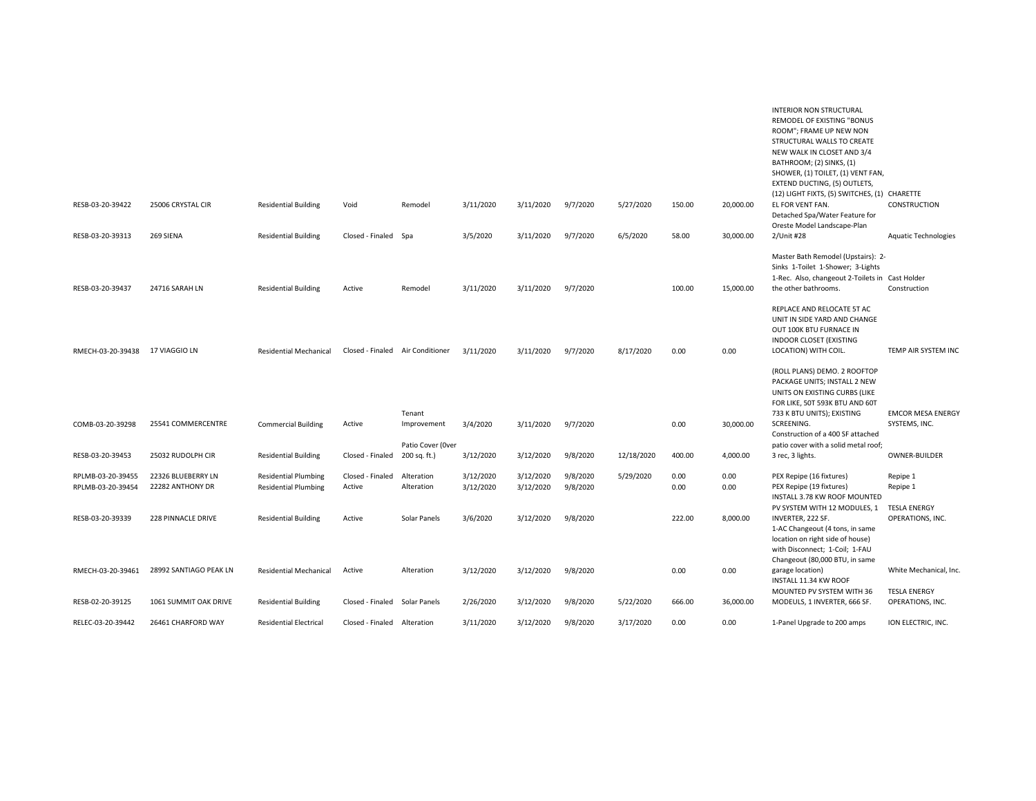|                                        |                                        |                                                            |                                  |                                   |                        |                        |                      |            |              |              | <b>INTERIOR NON STRUCTURAL</b><br>REMODEL OF EXISTING "BONUS<br>ROOM"; FRAME UP NEW NON<br>STRUCTURAL WALLS TO CREATE<br>NEW WALK IN CLOSET AND 3/4<br>BATHROOM; (2) SINKS, (1)<br>SHOWER, (1) TOILET, (1) VENT FAN,<br>EXTEND DUCTING, (5) OUTLETS,<br>(12) LIGHT FIXTS, (5) SWITCHES, (1) CHARETTE |                                           |
|----------------------------------------|----------------------------------------|------------------------------------------------------------|----------------------------------|-----------------------------------|------------------------|------------------------|----------------------|------------|--------------|--------------|------------------------------------------------------------------------------------------------------------------------------------------------------------------------------------------------------------------------------------------------------------------------------------------------------|-------------------------------------------|
| RESB-03-20-39422                       | 25006 CRYSTAL CIR                      | <b>Residential Building</b>                                | Void                             | Remodel                           | 3/11/2020              | 3/11/2020              | 9/7/2020             | 5/27/2020  | 150.00       | 20,000.00    | EL FOR VENT FAN.<br>Detached Spa/Water Feature for<br>Oreste Model Landscape-Plan                                                                                                                                                                                                                    | CONSTRUCTION                              |
| RESB-03-20-39313                       | 269 SIENA                              | <b>Residential Building</b>                                | Closed - Finaled Spa             |                                   | 3/5/2020               | 3/11/2020              | 9/7/2020             | 6/5/2020   | 58.00        | 30.000.00    | 2/Unit #28                                                                                                                                                                                                                                                                                           | <b>Aquatic Technologies</b>               |
| RESB-03-20-39437                       | 24716 SARAH LN                         | <b>Residential Building</b>                                | Active                           | Remodel                           | 3/11/2020              | 3/11/2020              | 9/7/2020             |            | 100.00       | 15,000.00    | Master Bath Remodel (Upstairs): 2-<br>Sinks 1-Toilet 1-Shower; 3-Lights<br>1-Rec. Also, changeout 2-Toilets in Cast Holder<br>the other bathrooms.                                                                                                                                                   | Construction                              |
| RMECH-03-20-39438 17 VIAGGIO LN        |                                        | <b>Residential Mechanical</b>                              | Closed - Finaled Air Conditioner |                                   | 3/11/2020              | 3/11/2020              | 9/7/2020             | 8/17/2020  | 0.00         | 0.00         | REPLACE AND RELOCATE 5T AC<br>UNIT IN SIDE YARD AND CHANGE<br>OUT 100K BTU FURNACE IN<br><b>INDOOR CLOSET (EXISTING</b><br>LOCATION) WITH COIL.                                                                                                                                                      | TEMP AIR SYSTEM INC                       |
| COMB-03-20-39298                       | 25541 COMMERCENTRE                     | <b>Commercial Building</b>                                 | Active                           | Tenant<br>Improvement             | 3/4/2020               | 3/11/2020              | 9/7/2020             |            | 0.00         | 30,000.00    | (ROLL PLANS) DEMO. 2 ROOFTOP<br>PACKAGE UNITS; INSTALL 2 NEW<br>UNITS ON EXISTING CURBS (LIKE<br>FOR LIKE, 50T 593K BTU AND 60T<br>733 K BTU UNITS); EXISTING<br>SCREENING.                                                                                                                          | <b>EMCOR MESA ENERGY</b><br>SYSTEMS, INC. |
|                                        |                                        |                                                            |                                  |                                   |                        |                        |                      |            |              |              | Construction of a 400 SF attached                                                                                                                                                                                                                                                                    |                                           |
| RESB-03-20-39453                       | 25032 RUDOLPH CIR                      | <b>Residential Building</b>                                | Closed - Finaled                 | Patio Cover (Over<br>200 sq. ft.) | 3/12/2020              | 3/12/2020              | 9/8/2020             | 12/18/2020 | 400.00       | 4,000.00     | patio cover with a solid metal roof;<br>3 rec, 3 lights.                                                                                                                                                                                                                                             | OWNER-BUILDER                             |
| RPLMB-03-20-39455<br>RPLMB-03-20-39454 | 22326 BLUEBERRY LN<br>22282 ANTHONY DR | <b>Residential Plumbing</b><br><b>Residential Plumbing</b> | Closed - Finaled<br>Active       | Alteration<br>Alteration          | 3/12/2020<br>3/12/2020 | 3/12/2020<br>3/12/2020 | 9/8/2020<br>9/8/2020 | 5/29/2020  | 0.00<br>0.00 | 0.00<br>0.00 | PEX Repipe (16 fixtures)<br>PEX Repipe (19 fixtures)<br>INSTALL 3.78 KW ROOF MOUNTED                                                                                                                                                                                                                 | Repipe 1<br>Repipe 1                      |
| RESB-03-20-39339                       | 228 PINNACLE DRIVE                     | <b>Residential Building</b>                                | Active                           | Solar Panels                      | 3/6/2020               | 3/12/2020              | 9/8/2020             |            | 222.00       | 8,000.00     | PV SYSTEM WITH 12 MODULES, 1<br>INVERTER, 222 SF.<br>1-AC Changeout (4 tons, in same<br>location on right side of house)<br>with Disconnect; 1-Coil; 1-FAU<br>Changeout (80,000 BTU, in same                                                                                                         | <b>TESLA ENERGY</b><br>OPERATIONS, INC.   |
| RMECH-03-20-39461                      | 28992 SANTIAGO PEAK LN                 | <b>Residential Mechanical</b>                              | Active                           | Alteration                        | 3/12/2020              | 3/12/2020              | 9/8/2020             |            | 0.00         | 0.00         | garage location)<br>INSTALL 11.34 KW ROOF                                                                                                                                                                                                                                                            | White Mechanical, Inc.                    |
| RESB-02-20-39125                       | 1061 SUMMIT OAK DRIVE                  | <b>Residential Building</b>                                | Closed - Finaled Solar Panels    |                                   | 2/26/2020              | 3/12/2020              | 9/8/2020             | 5/22/2020  | 666.00       | 36,000.00    | MOUNTED PV SYSTEM WITH 36<br>MODEULS, 1 INVERTER, 666 SF.                                                                                                                                                                                                                                            | <b>TESLA ENERGY</b><br>OPERATIONS, INC.   |
| RELEC-03-20-39442                      | 26461 CHARFORD WAY                     | <b>Residential Electrical</b>                              | Closed - Finaled Alteration      |                                   | 3/11/2020              | 3/12/2020              | 9/8/2020             | 3/17/2020  | 0.00         | 0.00         | 1-Panel Upgrade to 200 amps                                                                                                                                                                                                                                                                          | ION ELECTRIC, INC.                        |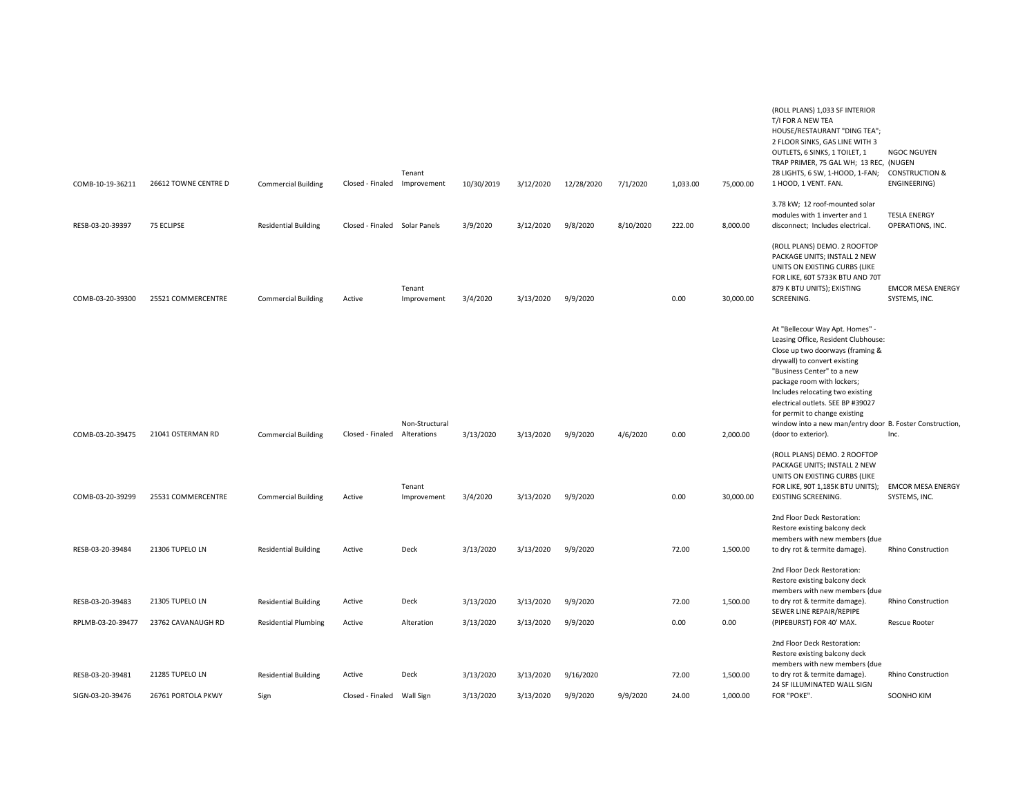|                   |                      |                             |                               | Tenant                |            |           |            |           |          |           | T/I FOR A NEW TEA<br>HOUSE/RESTAURANT "DING TEA";<br>2 FLOOR SINKS, GAS LINE WITH 3<br>OUTLETS, 6 SINKS, 1 TOILET, 1<br>TRAP PRIMER, 75 GAL WH; 13 REC, (NUGEN<br>28 LIGHTS, 6 SW, 1-HOOD, 1-FAN;                                                                                                                                                                                                   | NGOC NGUYEN<br><b>CONSTRUCTION &amp;</b>  |
|-------------------|----------------------|-----------------------------|-------------------------------|-----------------------|------------|-----------|------------|-----------|----------|-----------|-----------------------------------------------------------------------------------------------------------------------------------------------------------------------------------------------------------------------------------------------------------------------------------------------------------------------------------------------------------------------------------------------------|-------------------------------------------|
| COMB-10-19-36211  | 26612 TOWNE CENTRE D | <b>Commercial Building</b>  | Closed - Finaled Improvement  |                       | 10/30/2019 | 3/12/2020 | 12/28/2020 | 7/1/2020  | 1,033.00 | 75,000.00 | 1 HOOD, 1 VENT. FAN.                                                                                                                                                                                                                                                                                                                                                                                | ENGINEERING)                              |
| RESB-03-20-39397  | 75 ECLIPSE           | <b>Residential Building</b> | Closed - Finaled Solar Panels |                       | 3/9/2020   | 3/12/2020 | 9/8/2020   | 8/10/2020 | 222.00   | 8,000.00  | 3.78 kW; 12 roof-mounted solar<br>modules with 1 inverter and 1<br>disconnect; Includes electrical.                                                                                                                                                                                                                                                                                                 | <b>TESLA ENERGY</b><br>OPERATIONS, INC.   |
| COMB-03-20-39300  | 25521 COMMERCENTRE   | <b>Commercial Building</b>  | Active                        | Tenant<br>Improvement | 3/4/2020   | 3/13/2020 | 9/9/2020   |           | 0.00     | 30,000.00 | (ROLL PLANS) DEMO. 2 ROOFTOP<br>PACKAGE UNITS; INSTALL 2 NEW<br>UNITS ON EXISTING CURBS (LIKE<br>FOR LIKE, 60T 5733K BTU AND 70T<br>879 K BTU UNITS); EXISTING<br>SCREENING.                                                                                                                                                                                                                        | <b>EMCOR MESA ENERGY</b><br>SYSTEMS, INC. |
| COMB-03-20-39475  | 21041 OSTERMAN RD    | <b>Commercial Building</b>  | Closed - Finaled Alterations  | Non-Structural        | 3/13/2020  | 3/13/2020 | 9/9/2020   | 4/6/2020  | 0.00     | 2,000.00  | At "Bellecour Way Apt. Homes" -<br>Leasing Office, Resident Clubhouse:<br>Close up two doorways (framing &<br>drywall) to convert existing<br>"Business Center" to a new<br>package room with lockers;<br>Includes relocating two existing<br>electrical outlets. SEE BP #39027<br>for permit to change existing<br>window into a new man/entry door B. Foster Construction,<br>(door to exterior). | Inc.                                      |
| COMB-03-20-39299  | 25531 COMMERCENTRE   | <b>Commercial Building</b>  | Active                        | Tenant<br>Improvement | 3/4/2020   | 3/13/2020 | 9/9/2020   |           | 0.00     | 30,000.00 | (ROLL PLANS) DEMO. 2 ROOFTOP<br>PACKAGE UNITS; INSTALL 2 NEW<br>UNITS ON EXISTING CURBS (LIKE<br>FOR LIKE, 90T 1,185K BTU UNITS);<br><b>EXISTING SCREENING.</b>                                                                                                                                                                                                                                     | <b>EMCOR MESA ENERGY</b><br>SYSTEMS, INC. |
| RESB-03-20-39484  | 21306 TUPELO LN      | <b>Residential Building</b> | Active                        | Deck                  | 3/13/2020  | 3/13/2020 | 9/9/2020   |           | 72.00    | 1,500.00  | 2nd Floor Deck Restoration:<br>Restore existing balcony deck<br>members with new members (due<br>to dry rot & termite damage).                                                                                                                                                                                                                                                                      | <b>Rhino Construction</b>                 |
|                   |                      |                             |                               |                       |            |           |            |           |          |           | 2nd Floor Deck Restoration:<br>Restore existing balcony deck<br>members with new members (due                                                                                                                                                                                                                                                                                                       |                                           |
| RESB-03-20-39483  | 21305 TUPELO LN      | <b>Residential Building</b> | Active                        | Deck                  | 3/13/2020  | 3/13/2020 | 9/9/2020   |           | 72.00    | 1,500.00  | to dry rot & termite damage).<br>SEWER LINE REPAIR/REPIPE                                                                                                                                                                                                                                                                                                                                           | Rhino Construction                        |
| RPLMB-03-20-39477 | 23762 CAVANAUGH RD   | <b>Residential Plumbing</b> | Active                        | Alteration            | 3/13/2020  | 3/13/2020 | 9/9/2020   |           | 0.00     | 0.00      | (PIPEBURST) FOR 40' MAX.                                                                                                                                                                                                                                                                                                                                                                            | <b>Rescue Rooter</b>                      |
|                   |                      |                             |                               |                       |            |           |            |           |          |           | 2nd Floor Deck Restoration:<br>Restore existing balcony deck<br>members with new members (due                                                                                                                                                                                                                                                                                                       |                                           |
| RESB-03-20-39481  | 21285 TUPELO LN      | <b>Residential Building</b> | Active                        | Deck                  | 3/13/2020  | 3/13/2020 | 9/16/2020  |           | 72.00    | 1,500.00  | to dry rot & termite damage).<br>24 SF ILLUMINATED WALL SIGN                                                                                                                                                                                                                                                                                                                                        | <b>Rhino Construction</b>                 |
| SIGN-03-20-39476  | 26761 PORTOLA PKWY   | Sign                        | Closed - Finaled              | Wall Sign             | 3/13/2020  | 3/13/2020 | 9/9/2020   | 9/9/2020  | 24.00    | 1,000.00  | FOR "POKE".                                                                                                                                                                                                                                                                                                                                                                                         | SOONHO KIM                                |

(ROLL PLANS) 1,033 SF INTERIOR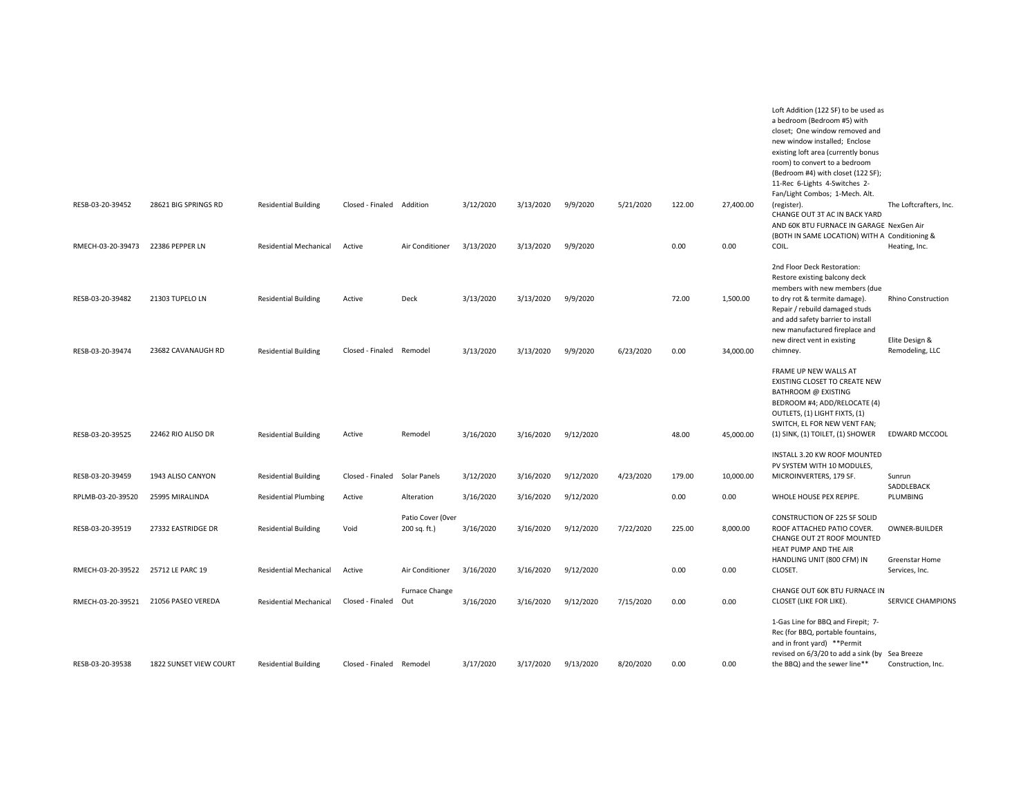|                   |                        |                               |                  |                                   |           |           |           |           |        |           | Loft Addition (122 SF) to be used as<br>a bedroom (Bedroom #5) with<br>closet: One window removed and<br>new window installed; Enclose<br>existing loft area (currently bonus<br>room) to convert to a bedroom<br>(Bedroom #4) with closet (122 SF);<br>11-Rec 6-Lights 4-Switches 2-<br>Fan/Light Combos; 1-Mech. Alt. |                                        |
|-------------------|------------------------|-------------------------------|------------------|-----------------------------------|-----------|-----------|-----------|-----------|--------|-----------|-------------------------------------------------------------------------------------------------------------------------------------------------------------------------------------------------------------------------------------------------------------------------------------------------------------------------|----------------------------------------|
| RESB-03-20-39452  | 28621 BIG SPRINGS RD   | <b>Residential Building</b>   | Closed - Finaled | Addition                          | 3/12/2020 | 3/13/2020 | 9/9/2020  | 5/21/2020 | 122.00 | 27,400.00 | (register).<br>CHANGE OUT 3T AC IN BACK YARD<br>AND 60K BTU FURNACE IN GARAGE NexGen Air<br>(BOTH IN SAME LOCATION) WITH A Conditioning &                                                                                                                                                                               | The Loftcrafters, Inc.                 |
| RMECH-03-20-39473 | 22386 PEPPER LN        | <b>Residential Mechanical</b> | Active           | Air Conditioner                   | 3/13/2020 | 3/13/2020 | 9/9/2020  |           | 0.00   | 0.00      | COIL.                                                                                                                                                                                                                                                                                                                   | Heating, Inc.                          |
| RESB-03-20-39482  | 21303 TUPELO LN        | <b>Residential Building</b>   | Active           | Deck                              | 3/13/2020 | 3/13/2020 | 9/9/2020  |           | 72.00  | 1,500.00  | 2nd Floor Deck Restoration:<br>Restore existing balcony deck<br>members with new members (due<br>to dry rot & termite damage).<br>Repair / rebuild damaged studs<br>and add safety barrier to install<br>new manufactured fireplace and<br>new direct vent in existing                                                  | Rhino Construction<br>Elite Design &   |
| RESB-03-20-39474  | 23682 CAVANAUGH RD     | <b>Residential Building</b>   | Closed - Finaled | Remodel                           | 3/13/2020 | 3/13/2020 | 9/9/2020  | 6/23/2020 | 0.00   | 34,000.00 | chimney.                                                                                                                                                                                                                                                                                                                | Remodeling, LLC                        |
| RESB-03-20-39525  | 22462 RIO ALISO DR     | <b>Residential Building</b>   | Active           | Remodel                           | 3/16/2020 | 3/16/2020 | 9/12/2020 |           | 48.00  | 45,000.00 | FRAME UP NEW WALLS AT<br>EXISTING CLOSET TO CREATE NEW<br>BATHROOM @ EXISTING<br>BEDROOM #4; ADD/RELOCATE (4)<br>OUTLETS, (1) LIGHT FIXTS, (1)<br>SWITCH, EL FOR NEW VENT FAN;<br>(1) SINK, (1) TOILET, (1) SHOWER                                                                                                      | EDWARD MCCOOL                          |
| RESB-03-20-39459  | 1943 ALISO CANYON      | <b>Residential Building</b>   | Closed - Finaled | Solar Panels                      | 3/12/2020 | 3/16/2020 | 9/12/2020 | 4/23/2020 | 179.00 | 10,000.00 | INSTALL 3.20 KW ROOF MOUNTED<br>PV SYSTEM WITH 10 MODULES,<br>MICROINVERTERS, 179 SF.                                                                                                                                                                                                                                   | Sunrun                                 |
| RPLMB-03-20-39520 | 25995 MIRALINDA        | <b>Residential Plumbing</b>   | Active           | Alteration                        | 3/16/2020 | 3/16/2020 | 9/12/2020 |           | 0.00   | 0.00      | WHOLE HOUSE PEX REPIPE.                                                                                                                                                                                                                                                                                                 | SADDLEBACK<br>PLUMBING                 |
| RESB-03-20-39519  | 27332 EASTRIDGE DR     | <b>Residential Building</b>   | Void             | Patio Cover (Over<br>200 sq. ft.) | 3/16/2020 | 3/16/2020 | 9/12/2020 | 7/22/2020 | 225.00 | 8,000.00  | CONSTRUCTION OF 225 SF SOLID<br>ROOF ATTACHED PATIO COVER.<br>CHANGE OUT 2T ROOF MOUNTED<br>HEAT PUMP AND THE AIR<br>HANDLING UNIT (800 CFM) IN                                                                                                                                                                         | OWNER-BUILDER<br><b>Greenstar Home</b> |
| RMECH-03-20-39522 | 25712 LE PARC 19       | <b>Residential Mechanical</b> | Active           | Air Conditioner                   | 3/16/2020 | 3/16/2020 | 9/12/2020 |           | 0.00   | 0.00      | CLOSET.                                                                                                                                                                                                                                                                                                                 | Services, Inc.                         |
| RMECH-03-20-39521 | 21056 PASEO VEREDA     | <b>Residential Mechanical</b> | Closed - Finaled | Furnace Change<br>Out             | 3/16/2020 | 3/16/2020 | 9/12/2020 | 7/15/2020 | 0.00   | 0.00      | CHANGE OUT 60K BTU FURNACE IN<br>CLOSET (LIKE FOR LIKE).                                                                                                                                                                                                                                                                | <b>SERVICE CHAMPIONS</b>               |
| RESB-03-20-39538  | 1822 SUNSET VIEW COURT | <b>Residential Building</b>   | Closed - Finaled | Remodel                           | 3/17/2020 | 3/17/2020 | 9/13/2020 | 8/20/2020 | 0.00   | 0.00      | 1-Gas Line for BBQ and Firepit; 7-<br>Rec (for BBQ, portable fountains,<br>and in front yard) **Permit<br>revised on 6/3/20 to add a sink (by Sea Breeze<br>the BBQ) and the sewer line**                                                                                                                               | Construction, Inc.                     |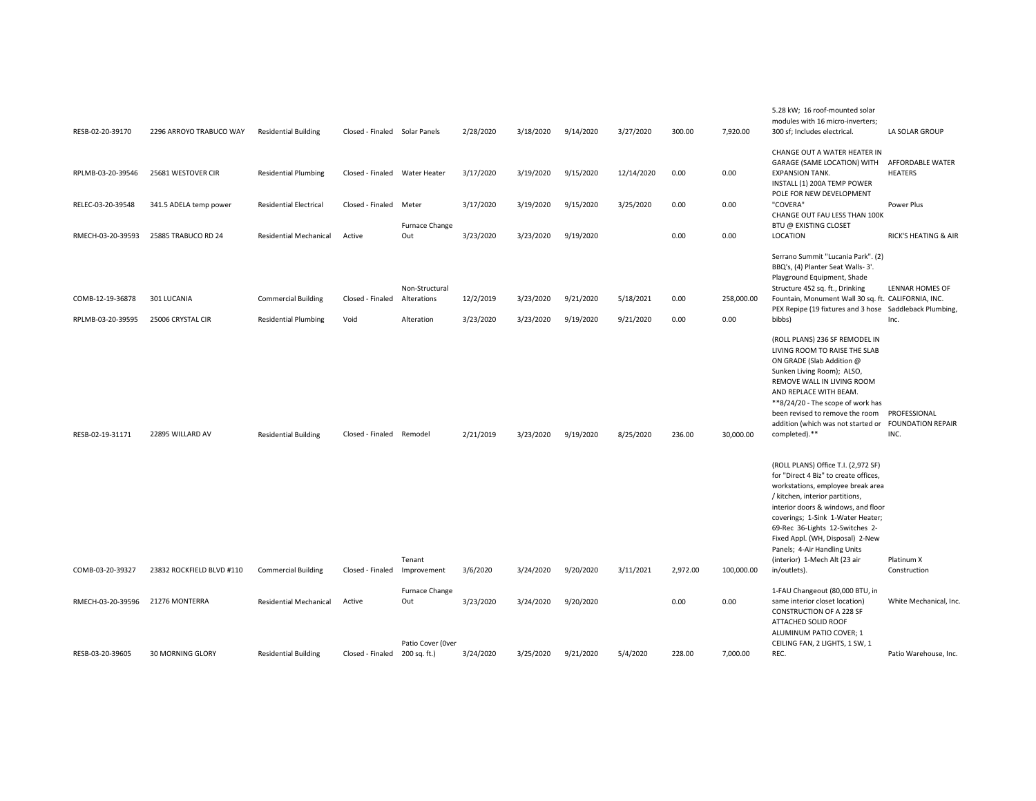| RESB-02-20-39170  | 2296 ARROYO TRABUCO WAY   | <b>Residential Building</b>   | Closed - Finaled Solar Panels |                                   | 2/28/2020 | 3/18/2020 | 9/14/2020 | 3/27/2020  | 300.00   | 7,920.00   | 5.28 kW; 16 roof-mounted solar<br>modules with 16 micro-inverters;<br>300 sf; Includes electrical.                                                                                                                                                                                                                                                                                       | LA SOLAR GROUP                                   |
|-------------------|---------------------------|-------------------------------|-------------------------------|-----------------------------------|-----------|-----------|-----------|------------|----------|------------|------------------------------------------------------------------------------------------------------------------------------------------------------------------------------------------------------------------------------------------------------------------------------------------------------------------------------------------------------------------------------------------|--------------------------------------------------|
| RPLMB-03-20-39546 | 25681 WESTOVER CIR        | <b>Residential Plumbing</b>   | Closed - Finaled Water Heater |                                   | 3/17/2020 | 3/19/2020 | 9/15/2020 | 12/14/2020 | 0.00     | 0.00       | CHANGE OUT A WATER HEATER IN<br>GARAGE (SAME LOCATION) WITH<br><b>EXPANSION TANK.</b>                                                                                                                                                                                                                                                                                                    | AFFORDABLE WATER<br><b>HEATERS</b>               |
| RELEC-03-20-39548 | 341.5 ADELA temp power    | <b>Residential Electrical</b> | Closed - Finaled Meter        |                                   | 3/17/2020 | 3/19/2020 | 9/15/2020 | 3/25/2020  | 0.00     | 0.00       | INSTALL (1) 200A TEMP POWER<br>POLE FOR NEW DEVELOPMENT<br>"COVERA"                                                                                                                                                                                                                                                                                                                      | Power Plus                                       |
|                   |                           |                               |                               | Furnace Change                    |           |           |           |            |          |            | CHANGE OUT FAU LESS THAN 100K<br><b>BTU @ EXISTING CLOSET</b>                                                                                                                                                                                                                                                                                                                            |                                                  |
| RMECH-03-20-39593 | 25885 TRABUCO RD 24       | <b>Residential Mechanical</b> | Active                        | Out                               | 3/23/2020 | 3/23/2020 | 9/19/2020 |            | 0.00     | 0.00       | LOCATION                                                                                                                                                                                                                                                                                                                                                                                 | RICK'S HEATING & AIR                             |
|                   |                           |                               |                               |                                   |           |           |           |            |          |            | Serrano Summit "Lucania Park". (2)<br>BBQ's, (4) Planter Seat Walls- 3'.<br>Playground Equipment, Shade                                                                                                                                                                                                                                                                                  | <b>LENNAR HOMES OF</b>                           |
| COMB-12-19-36878  | 301 LUCANIA               | <b>Commercial Building</b>    | Closed - Finaled              | Non-Structural<br>Alterations     | 12/2/2019 | 3/23/2020 | 9/21/2020 | 5/18/2021  | 0.00     | 258,000.00 | Structure 452 sq. ft., Drinking<br>Fountain, Monument Wall 30 sq. ft. CALIFORNIA, INC.<br>PEX Repipe (19 fixtures and 3 hose Saddleback Plumbing,                                                                                                                                                                                                                                        |                                                  |
| RPLMB-03-20-39595 | 25006 CRYSTAL CIR         | <b>Residential Plumbing</b>   | Void                          | Alteration                        | 3/23/2020 | 3/23/2020 | 9/19/2020 | 9/21/2020  | 0.00     | 0.00       | bibbs)                                                                                                                                                                                                                                                                                                                                                                                   | Inc.                                             |
| RESB-02-19-31171  | 22895 WILLARD AV          | <b>Residential Building</b>   | Closed - Finaled Remodel      |                                   | 2/21/2019 | 3/23/2020 | 9/19/2020 | 8/25/2020  | 236.00   | 30,000.00  | (ROLL PLANS) 236 SF REMODEL IN<br>LIVING ROOM TO RAISE THE SLAB<br>ON GRADE (Slab Addition @<br>Sunken Living Room); ALSO,<br>REMOVE WALL IN LIVING ROOM<br>AND REPLACE WITH BEAM.<br>**8/24/20 - The scope of work has<br>been revised to remove the room<br>addition (which was not started or<br>completed).**                                                                        | PROFESSIONAL<br><b>FOUNDATION REPAIR</b><br>INC. |
| COMB-03-20-39327  | 23832 ROCKFIELD BLVD #110 | <b>Commercial Building</b>    | Closed - Finaled Improvement  | Tenant                            | 3/6/2020  | 3/24/2020 | 9/20/2020 | 3/11/2021  | 2,972.00 | 100,000.00 | (ROLL PLANS) Office T.I. (2,972 SF)<br>for "Direct 4 Biz" to create offices,<br>workstations, employee break area<br>/ kitchen, interior partitions,<br>interior doors & windows, and floor<br>coverings; 1-Sink 1-Water Heater;<br>69-Rec 36-Lights 12-Switches 2-<br>Fixed Appl. (WH, Disposal) 2-New<br>Panels; 4-Air Handling Units<br>(interior) 1-Mech Alt (23 air<br>in/outlets). | Platinum X<br>Construction                       |
| RMECH-03-20-39596 | 21276 MONTERRA            | <b>Residential Mechanical</b> | Active                        | Furnace Change<br>Out             | 3/23/2020 | 3/24/2020 | 9/20/2020 |            | 0.00     | 0.00       | 1-FAU Changeout (80,000 BTU, in<br>same interior closet location)<br><b>CONSTRUCTION OF A 228 SF</b><br>ATTACHED SOLID ROOF                                                                                                                                                                                                                                                              | White Mechanical, Inc.                           |
| RESB-03-20-39605  | 30 MORNING GLORY          | <b>Residential Building</b>   | Closed - Finaled              | Patio Cover (Over<br>200 sq. ft.) | 3/24/2020 | 3/25/2020 | 9/21/2020 | 5/4/2020   | 228.00   | 7,000.00   | ALUMINUM PATIO COVER; 1<br>CEILING FAN, 2 LIGHTS, 1 SW, 1<br>REC.                                                                                                                                                                                                                                                                                                                        | Patio Warehouse, Inc.                            |
|                   |                           |                               |                               |                                   |           |           |           |            |          |            |                                                                                                                                                                                                                                                                                                                                                                                          |                                                  |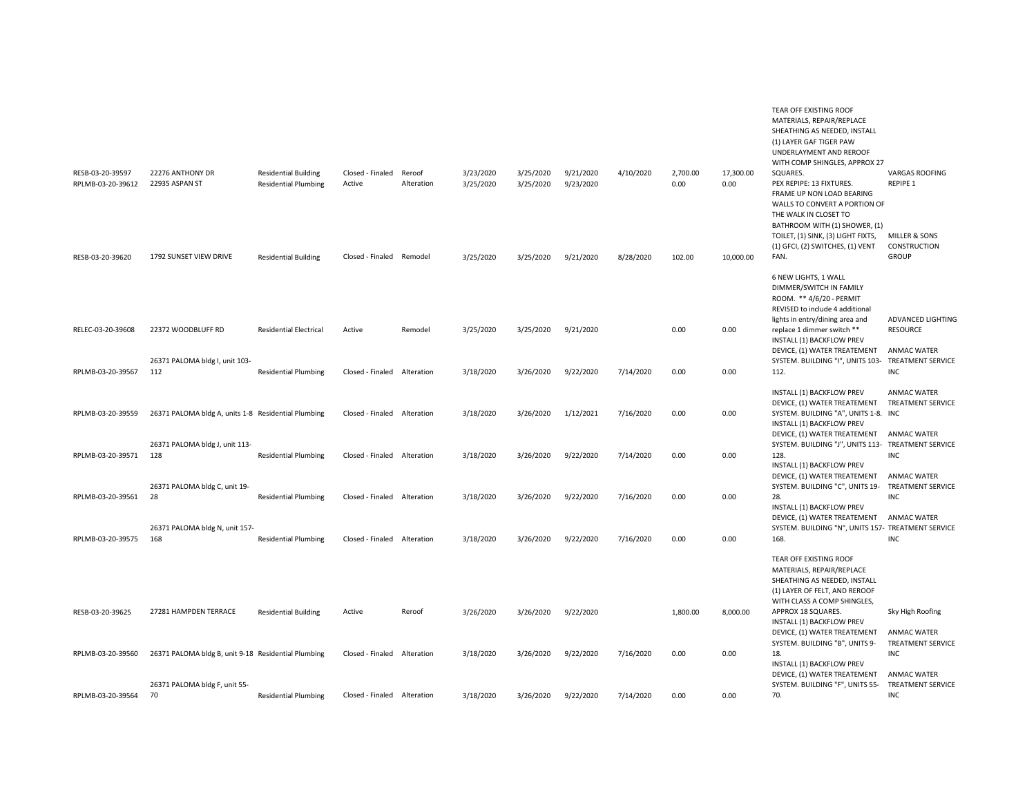|                                       |                                                     |                                                            |                             |                      |                        |                        |                        |           |                  |                   | MATERIALS, REPAIR/REPLACE<br>SHEATHING AS NEEDED, INSTALL<br>(1) LAYER GAF TIGER PAW<br>UNDERLAYMENT AND REROOF<br>WITH COMP SHINGLES, APPROX 27                                                   |                                                              |
|---------------------------------------|-----------------------------------------------------|------------------------------------------------------------|-----------------------------|----------------------|------------------------|------------------------|------------------------|-----------|------------------|-------------------|----------------------------------------------------------------------------------------------------------------------------------------------------------------------------------------------------|--------------------------------------------------------------|
| RESB-03-20-39597<br>RPLMB-03-20-39612 | 22276 ANTHONY DR<br>22935 ASPAN ST                  | <b>Residential Building</b><br><b>Residential Plumbing</b> | Closed - Finaled<br>Active  | Reroof<br>Alteration | 3/23/2020<br>3/25/2020 | 3/25/2020<br>3/25/2020 | 9/21/2020<br>9/23/2020 | 4/10/2020 | 2,700.00<br>0.00 | 17,300.00<br>0.00 | SQUARES.<br>PEX REPIPE: 13 FIXTURES.<br>FRAME UP NON LOAD BEARING<br>WALLS TO CONVERT A PORTION OF<br>THE WALK IN CLOSET TO<br>BATHROOM WITH (1) SHOWER, (1)<br>TOILET, (1) SINK, (3) LIGHT FIXTS, | <b>VARGAS ROOFING</b><br>REPIPE 1<br>MILLER & SONS           |
|                                       |                                                     |                                                            |                             |                      |                        |                        |                        |           |                  |                   | (1) GFCI, (2) SWITCHES, (1) VENT                                                                                                                                                                   | CONSTRUCTION                                                 |
| RESB-03-20-39620                      | 1792 SUNSET VIEW DRIVE                              | <b>Residential Building</b>                                | Closed - Finaled Remodel    |                      | 3/25/2020              | 3/25/2020              | 9/21/2020              | 8/28/2020 | 102.00           | 10,000.00         | FAN.<br>6 NEW LIGHTS, 1 WALL<br>DIMMER/SWITCH IN FAMILY<br>ROOM. ** 4/6/20 - PERMIT<br>REVISED to include 4 additional                                                                             | <b>GROUP</b>                                                 |
| RELEC-03-20-39608                     | 22372 WOODBLUFF RD                                  | <b>Residential Electrical</b>                              | Active                      | Remodel              | 3/25/2020              | 3/25/2020              | 9/21/2020              |           | 0.00             | 0.00              | lights in entry/dining area and<br>replace 1 dimmer switch **<br>INSTALL (1) BACKFLOW PREV<br>DEVICE, (1) WATER TREATEMENT                                                                         | ADVANCED LIGHTING<br><b>RESOURCE</b><br><b>ANMAC WATER</b>   |
| RPLMB-03-20-39567                     | 26371 PALOMA bldg I, unit 103-<br>112               | <b>Residential Plumbing</b>                                | Closed - Finaled Alteration |                      | 3/18/2020              | 3/26/2020              | 9/22/2020              | 7/14/2020 | 0.00             | 0.00              | SYSTEM. BUILDING "I", UNITS 103- TREATMENT SERVICE<br>112.                                                                                                                                         | <b>INC</b>                                                   |
| RPLMB-03-20-39559                     | 26371 PALOMA bldg A, units 1-8 Residential Plumbing |                                                            | Closed - Finaled Alteration |                      | 3/18/2020              | 3/26/2020              | 1/12/2021              | 7/16/2020 | 0.00             | 0.00              | INSTALL (1) BACKFLOW PREV<br>DEVICE, (1) WATER TREATEMENT<br>SYSTEM. BUILDING "A", UNITS 1-8. INC                                                                                                  | <b>ANMAC WATER</b><br><b>TREATMENT SERVICE</b>               |
|                                       |                                                     |                                                            |                             |                      |                        |                        |                        |           |                  |                   | INSTALL (1) BACKFLOW PREV<br>DEVICE, (1) WATER TREATEMENT                                                                                                                                          | <b>ANMAC WATER</b>                                           |
| RPLMB-03-20-39571                     | 26371 PALOMA bldg J, unit 113-<br>128               | <b>Residential Plumbing</b>                                | Closed - Finaled Alteration |                      | 3/18/2020              | 3/26/2020              | 9/22/2020              | 7/14/2020 | 0.00             | 0.00              | SYSTEM. BUILDING "J", UNITS 113- TREATMENT SERVICE<br>128.<br>INSTALL (1) BACKFLOW PREV                                                                                                            | <b>INC</b>                                                   |
| RPLMB-03-20-39561                     | 26371 PALOMA bldg C, unit 19-<br>28                 | <b>Residential Plumbing</b>                                | Closed - Finaled Alteration |                      | 3/18/2020              | 3/26/2020              | 9/22/2020              | 7/16/2020 | 0.00             | 0.00              | DEVICE, (1) WATER TREATEMENT<br>SYSTEM. BUILDING "C", UNITS 19-<br>28.                                                                                                                             | <b>ANMAC WATER</b><br><b>TREATMENT SERVICE</b><br><b>INC</b> |
|                                       | 26371 PALOMA bldg N, unit 157-                      |                                                            |                             |                      |                        |                        |                        |           |                  |                   | INSTALL (1) BACKFLOW PREV<br>DEVICE, (1) WATER TREATEMENT<br>SYSTEM. BUILDING "N", UNITS 157- TREATMENT SERVICE                                                                                    | ANMAC WATER                                                  |
| RPLMB-03-20-39575                     | 168                                                 | <b>Residential Plumbing</b>                                | Closed - Finaled Alteration |                      | 3/18/2020              | 3/26/2020              | 9/22/2020              | 7/16/2020 | 0.00             | 0.00              | 168.                                                                                                                                                                                               | <b>INC</b>                                                   |
|                                       |                                                     |                                                            |                             |                      |                        |                        |                        |           |                  |                   | TEAR OFF EXISTING ROOF<br>MATERIALS, REPAIR/REPLACE<br>SHEATHING AS NEEDED, INSTALL<br>(1) LAYER OF FELT, AND REROOF                                                                               |                                                              |
| RESB-03-20-39625                      | 27281 HAMPDEN TERRACE                               | <b>Residential Building</b>                                | Active                      | Reroof               | 3/26/2020              | 3/26/2020              | 9/22/2020              |           | 1,800.00         | 8,000.00          | WITH CLASS A COMP SHINGLES,<br>APPROX 18 SQUARES.<br>INSTALL (1) BACKFLOW PREV                                                                                                                     | Sky High Roofing                                             |
| RPLMB-03-20-39560                     | 26371 PALOMA bldg B, unit 9-18 Residential Plumbing |                                                            | Closed - Finaled Alteration |                      | 3/18/2020              | 3/26/2020              | 9/22/2020              | 7/16/2020 | 0.00             | 0.00              | DEVICE, (1) WATER TREATEMENT<br>SYSTEM. BUILDING "B", UNITS 9-<br>18.                                                                                                                              | <b>ANMAC WATER</b><br><b>TREATMENT SERVICE</b><br><b>INC</b> |
|                                       |                                                     |                                                            |                             |                      |                        |                        |                        |           |                  |                   | INSTALL (1) BACKFLOW PREV<br>DEVICE, (1) WATER TREATEMENT                                                                                                                                          | <b>ANMAC WATER</b>                                           |
| RPLMB-03-20-39564                     | 26371 PALOMA bldg F, unit 55-<br>70                 | <b>Residential Plumbing</b>                                | Closed - Finaled Alteration |                      | 3/18/2020              | 3/26/2020              | 9/22/2020              | 7/14/2020 | 0.00             | 0.00              | SYSTEM. BUILDING "F", UNITS 55-<br>70.                                                                                                                                                             | <b>TREATMENT SERVICE</b><br><b>INC</b>                       |

TEAR OFF EXISTING ROOF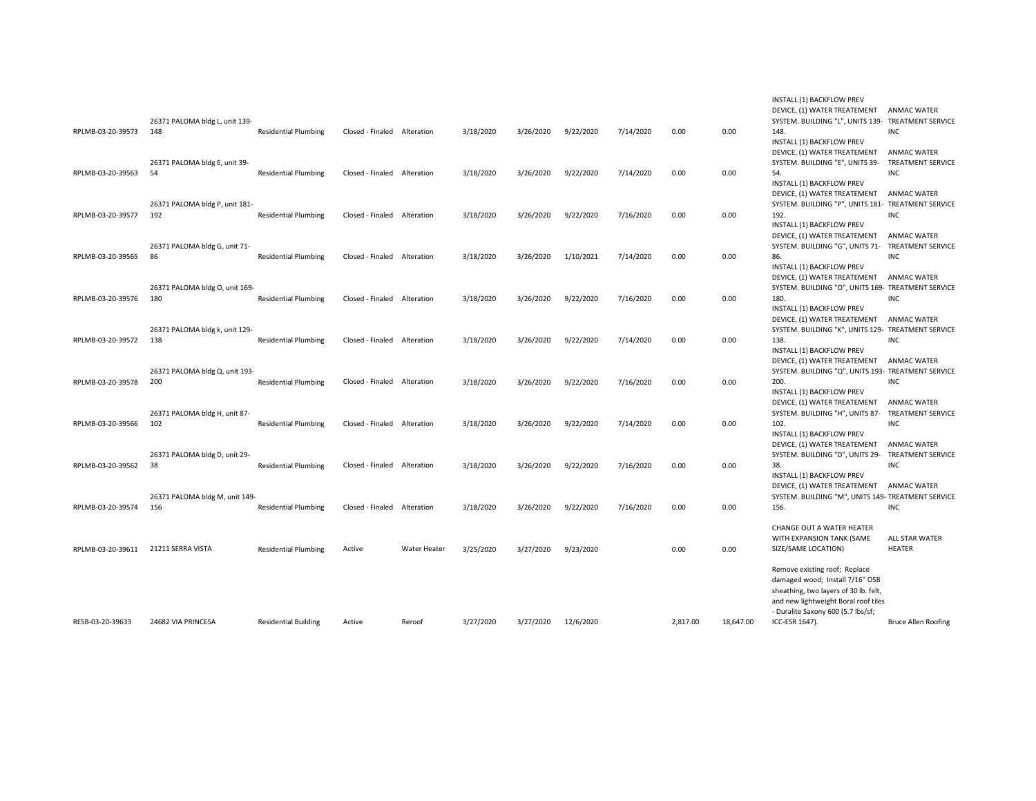|                   |                                       |                             |                             |                     |           |           |           |           |          |           | INSTALL (1) BACKFLOW PREV<br>DEVICE, (1) WATER TREATEMENT                                                                                                                               | <b>ANMAC WATER</b>                                           |
|-------------------|---------------------------------------|-----------------------------|-----------------------------|---------------------|-----------|-----------|-----------|-----------|----------|-----------|-----------------------------------------------------------------------------------------------------------------------------------------------------------------------------------------|--------------------------------------------------------------|
| RPLMB-03-20-39573 | 26371 PALOMA bldg L, unit 139-<br>148 | <b>Residential Plumbing</b> | Closed - Finaled            | Alteration          | 3/18/2020 | 3/26/2020 | 9/22/2020 | 7/14/2020 | 0.00     | 0.00      | SYSTEM. BUILDING "L", UNITS 139- TREATMENT SERVICE<br>148.<br>INSTALL (1) BACKFLOW PREV                                                                                                 | <b>INC</b>                                                   |
|                   | 26371 PALOMA bldg E, unit 39-         |                             |                             |                     |           |           |           |           |          |           | DEVICE, (1) WATER TREATEMENT<br>SYSTEM. BUILDING "E", UNITS 39-                                                                                                                         | <b>ANMAC WATER</b><br><b>TREATMENT SERVICE</b>               |
| RPLMB-03-20-39563 | 54                                    | <b>Residential Plumbing</b> | Closed - Finaled Alteration |                     | 3/18/2020 | 3/26/2020 | 9/22/2020 | 7/14/2020 | 0.00     | 0.00      | 54.<br>INSTALL (1) BACKFLOW PREV<br>DEVICE, (1) WATER TREATEMENT                                                                                                                        | <b>INC</b><br><b>ANMAC WATER</b>                             |
| RPLMB-03-20-39577 | 26371 PALOMA bldg P, unit 181-<br>192 | <b>Residential Plumbing</b> | Closed - Finaled            | Alteration          | 3/18/2020 | 3/26/2020 | 9/22/2020 | 7/16/2020 | 0.00     | 0.00      | SYSTEM. BUILDING "P", UNITS 181- TREATMENT SERVICE<br>192.                                                                                                                              | <b>INC</b>                                                   |
|                   | 26371 PALOMA bldg G, unit 71-         |                             |                             |                     |           |           |           |           |          |           | INSTALL (1) BACKFLOW PREV<br>DEVICE, (1) WATER TREATEMENT<br>SYSTEM. BUILDING "G", UNITS 71- TREATMENT SERVICE                                                                          | <b>ANMAC WATER</b>                                           |
| RPLMB-03-20-39565 | 86                                    | <b>Residential Plumbing</b> | Closed - Finaled            | Alteration          | 3/18/2020 | 3/26/2020 | 1/10/2021 | 7/14/2020 | 0.00     | 0.00      | 86.<br>INSTALL (1) BACKFLOW PREV                                                                                                                                                        | <b>INC</b>                                                   |
| RPLMB-03-20-39576 | 26371 PALOMA bldg O, unit 169-<br>180 | <b>Residential Plumbing</b> | Closed - Finaled            | Alteration          | 3/18/2020 | 3/26/2020 | 9/22/2020 | 7/16/2020 | 0.00     | 0.00      | DEVICE, (1) WATER TREATEMENT<br>SYSTEM. BUILDING "O", UNITS 169- TREATMENT SERVICE<br>180.                                                                                              | <b>ANMAC WATER</b><br><b>INC</b>                             |
|                   |                                       |                             |                             |                     |           |           |           |           |          |           | INSTALL (1) BACKFLOW PREV<br>DEVICE, (1) WATER TREATEMENT                                                                                                                               | ANMAC WATER                                                  |
| RPLMB-03-20-39572 | 26371 PALOMA bldg k, unit 129-<br>138 | <b>Residential Plumbing</b> | Closed - Finaled Alteration |                     | 3/18/2020 | 3/26/2020 | 9/22/2020 | 7/14/2020 | 0.00     | 0.00      | SYSTEM. BUILDING "K", UNITS 129- TREATMENT SERVICE<br>138.<br>INSTALL (1) BACKFLOW PREV                                                                                                 | <b>INC</b>                                                   |
|                   | 26371 PALOMA bldg Q, unit 193-        |                             |                             |                     |           |           |           |           |          |           | DEVICE, (1) WATER TREATEMENT<br>SYSTEM. BUILDING "Q", UNITS 193- TREATMENT SERVICE                                                                                                      | ANMAC WATER                                                  |
| RPLMB-03-20-39578 | 200                                   | <b>Residential Plumbing</b> | Closed - Finaled Alteration |                     | 3/18/2020 | 3/26/2020 | 9/22/2020 | 7/16/2020 | 0.00     | 0.00      | 200.<br>INSTALL (1) BACKFLOW PREV                                                                                                                                                       | INC                                                          |
| RPLMB-03-20-39566 | 26371 PALOMA bldg H, unit 87-<br>102  | <b>Residential Plumbing</b> | Closed - Finaled Alteration |                     | 3/18/2020 | 3/26/2020 | 9/22/2020 | 7/14/2020 | 0.00     | 0.00      | DEVICE, (1) WATER TREATEMENT<br>SYSTEM. BUILDING "H", UNITS 87-<br>102.                                                                                                                 | <b>ANMAC WATER</b><br><b>TREATMENT SERVICE</b><br><b>INC</b> |
|                   |                                       |                             |                             |                     |           |           |           |           |          |           | INSTALL (1) BACKFLOW PREV<br>DEVICE, (1) WATER TREATEMENT                                                                                                                               | <b>ANMAC WATER</b>                                           |
| RPLMB-03-20-39562 | 26371 PALOMA bldg D, unit 29-<br>38   | <b>Residential Plumbing</b> | Closed - Finaled Alteration |                     | 3/18/2020 | 3/26/2020 | 9/22/2020 | 7/16/2020 | 0.00     | 0.00      | SYSTEM. BUILDING "D", UNITS 29-<br>38.<br>INSTALL (1) BACKFLOW PREV                                                                                                                     | <b>TREATMENT SERVICE</b><br><b>INC</b>                       |
|                   | 26371 PALOMA bldg M, unit 149-        |                             |                             |                     |           |           |           |           |          |           | DEVICE, (1) WATER TREATEMENT<br>SYSTEM. BUILDING "M", UNITS 149- TREATMENT SERVICE                                                                                                      | <b>ANMAC WATER</b>                                           |
| RPLMB-03-20-39574 | 156                                   | <b>Residential Plumbing</b> | Closed - Finaled Alteration |                     | 3/18/2020 | 3/26/2020 | 9/22/2020 | 7/16/2020 | 0.00     | 0.00      | 156.<br>CHANGE OUT A WATER HEATER                                                                                                                                                       | INC                                                          |
| RPLMB-03-20-39611 | 21211 SERRA VISTA                     | <b>Residential Plumbing</b> | Active                      | <b>Water Heater</b> | 3/25/2020 | 3/27/2020 | 9/23/2020 |           | 0.00     | 0.00      | WITH EXPANSION TANK (SAME<br>SIZE/SAME LOCATION)                                                                                                                                        | ALL STAR WATER<br><b>HEATER</b>                              |
|                   |                                       |                             |                             |                     |           |           |           |           |          |           | Remove existing roof; Replace<br>damaged wood; Install 7/16" OSB<br>sheathing, two layers of 30 lb. felt,<br>and new lightweight Boral roof tiles<br>- Duralite Saxony 600 (5.7 lbs/sf; |                                                              |
| RESB-03-20-39633  | 24682 VIA PRINCESA                    | <b>Residential Building</b> | Active                      | Reroof              | 3/27/2020 | 3/27/2020 | 12/6/2020 |           | 2,817.00 | 18,647.00 | ICC-ESR 1647).                                                                                                                                                                          | <b>Bruce Allen Roofing</b>                                   |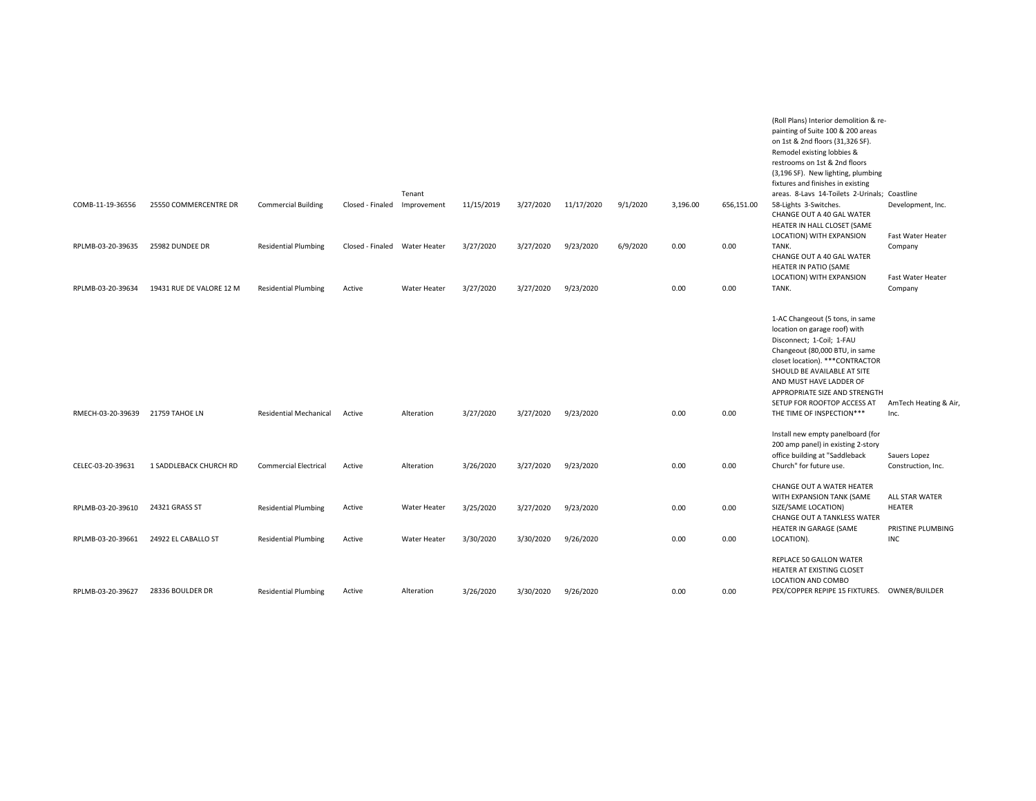|                                        |                                       |                                                            |                               |                              |                        |                        |                        |          |              |              | (Roll Plans) Interior demolition & re-<br>painting of Suite 100 & 200 areas<br>on 1st & 2nd floors (31,326 SF).<br>Remodel existing lobbies &<br>restrooms on 1st & 2nd floors<br>(3,196 SF). New lighting, plumbing<br>fixtures and finishes in existing                                                                  |                                                             |
|----------------------------------------|---------------------------------------|------------------------------------------------------------|-------------------------------|------------------------------|------------------------|------------------------|------------------------|----------|--------------|--------------|----------------------------------------------------------------------------------------------------------------------------------------------------------------------------------------------------------------------------------------------------------------------------------------------------------------------------|-------------------------------------------------------------|
| COMB-11-19-36556                       | 25550 COMMERCENTRE DR                 | <b>Commercial Building</b>                                 | Closed - Finaled              | Tenant<br>Improvement        | 11/15/2019             | 3/27/2020              | 11/17/2020             | 9/1/2020 | 3,196.00     | 656,151.00   | areas. 8-Lavs 14-Toilets 2-Urinals; Coastline<br>58-Lights 3-Switches.<br>CHANGE OUT A 40 GAL WATER<br>HEATER IN HALL CLOSET (SAME                                                                                                                                                                                         | Development, Inc.                                           |
| RPLMB-03-20-39635                      | 25982 DUNDEE DR                       | <b>Residential Plumbing</b>                                | Closed - Finaled Water Heater |                              | 3/27/2020              | 3/27/2020              | 9/23/2020              | 6/9/2020 | 0.00         | 0.00         | LOCATION) WITH EXPANSION<br>TANK.<br>CHANGE OUT A 40 GAL WATER<br>HEATER IN PATIO (SAME                                                                                                                                                                                                                                    | Fast Water Heater<br>Company                                |
| RPLMB-03-20-39634                      | 19431 RUE DE VALORE 12 M              | <b>Residential Plumbing</b>                                | Active                        | Water Heater                 | 3/27/2020              | 3/27/2020              | 9/23/2020              |          | 0.00         | 0.00         | LOCATION) WITH EXPANSION<br>TANK.                                                                                                                                                                                                                                                                                          | Fast Water Heater<br>Company                                |
| RMECH-03-20-39639                      | 21759 TAHOE LN                        | <b>Residential Mechanical</b>                              | Active                        | Alteration                   | 3/27/2020              | 3/27/2020              | 9/23/2020              |          | 0.00         | 0.00         | 1-AC Changeout (5 tons, in same<br>location on garage roof) with<br>Disconnect; 1-Coil; 1-FAU<br>Changeout (80,000 BTU, in same<br>closet location). *** CONTRACTOR<br>SHOULD BE AVAILABLE AT SITE<br>AND MUST HAVE LADDER OF<br>APPROPRIATE SIZE AND STRENGTH<br>SETUP FOR ROOFTOP ACCESS AT<br>THE TIME OF INSPECTION*** | AmTech Heating & Air,<br>Inc.                               |
|                                        |                                       |                                                            |                               |                              |                        |                        |                        |          |              |              | Install new empty panelboard (for                                                                                                                                                                                                                                                                                          |                                                             |
| CELEC-03-20-39631                      | 1 SADDLEBACK CHURCH RD                | <b>Commercial Electrical</b>                               | Active                        | Alteration                   | 3/26/2020              | 3/27/2020              | 9/23/2020              |          | 0.00         | 0.00         | 200 amp panel) in existing 2-story<br>office building at "Saddleback<br>Church" for future use.                                                                                                                                                                                                                            | Sauers Lopez<br>Construction, Inc.                          |
| RPLMB-03-20-39610<br>RPLMB-03-20-39661 | 24321 GRASS ST<br>24922 EL CABALLO ST | <b>Residential Plumbing</b><br><b>Residential Plumbing</b> | Active<br>Active              | Water Heater<br>Water Heater | 3/25/2020<br>3/30/2020 | 3/27/2020<br>3/30/2020 | 9/23/2020<br>9/26/2020 |          | 0.00<br>0.00 | 0.00<br>0.00 | CHANGE OUT A WATER HEATER<br>WITH EXPANSION TANK (SAME<br>SIZE/SAME LOCATION)<br><b>CHANGE OUT A TANKLESS WATER</b><br>HEATER IN GARAGE (SAME<br>LOCATION).                                                                                                                                                                | ALL STAR WATER<br>HEATER<br>PRISTINE PLUMBING<br><b>INC</b> |
|                                        |                                       |                                                            |                               |                              |                        |                        |                        |          |              |              | REPLACE 50 GALLON WATER<br>HEATER AT EXISTING CLOSET                                                                                                                                                                                                                                                                       |                                                             |
| RPLMB-03-20-39627                      | 28336 BOULDER DR                      | <b>Residential Plumbing</b>                                | Active                        | Alteration                   | 3/26/2020              | 3/30/2020              | 9/26/2020              |          | 0.00         | 0.00         | LOCATION AND COMBO<br>PEX/COPPER REPIPE 15 FIXTURES. OWNER/BUILDER                                                                                                                                                                                                                                                         |                                                             |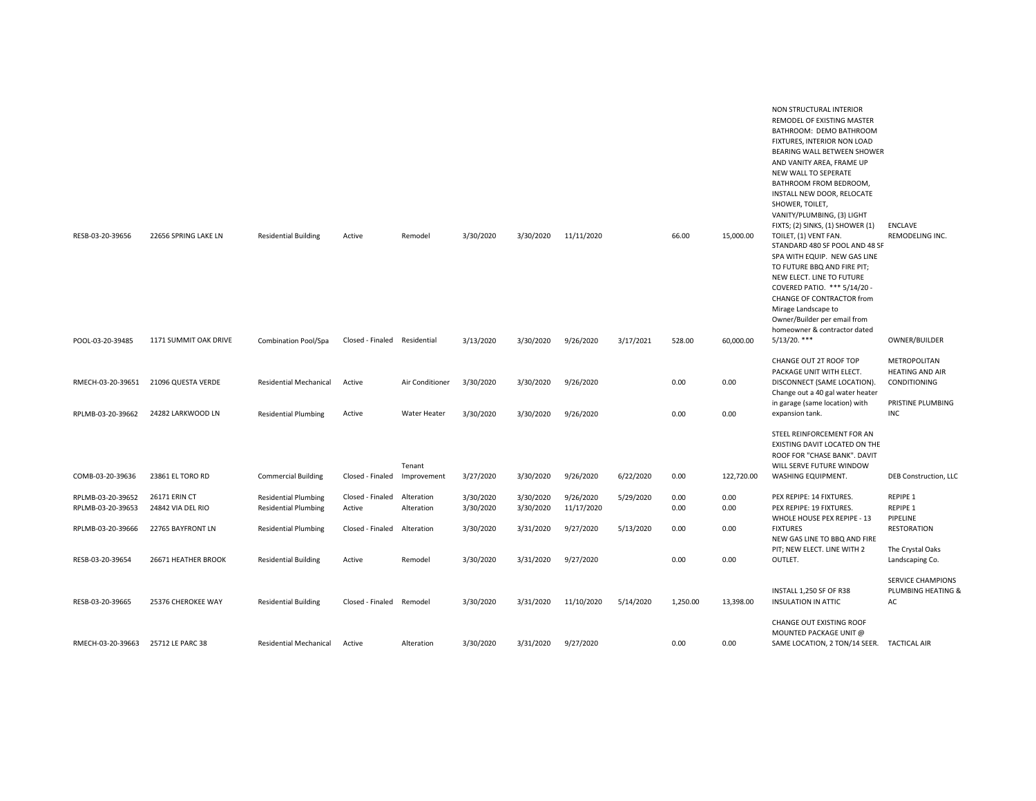| RESB-03-20-39656  | 22656 SPRING LAKE LN  | <b>Residential Building</b>                                | Active                       | Remodel                  | 3/30/2020              | 3/30/2020              | 11/11/2020              |           | 66.00        | 15,000.00    | NON STRUCTURAL INTERIOR<br>REMODEL OF EXISTING MASTER<br>BATHROOM: DEMO BATHROOM<br>FIXTURES, INTERIOR NON LOAD<br>BEARING WALL BETWEEN SHOWER<br>AND VANITY AREA, FRAME UP<br>NEW WALL TO SEPERATE<br>BATHROOM FROM BEDROOM,<br>INSTALL NEW DOOR, RELOCATE<br>SHOWER, TOILET,<br>VANITY/PLUMBING, (3) LIGHT<br>FIXTS; (2) SINKS, (1) SHOWER (1)<br>TOILET, (1) VENT FAN. | ENCLAVE<br>REMODELING INC.                                                  |
|-------------------|-----------------------|------------------------------------------------------------|------------------------------|--------------------------|------------------------|------------------------|-------------------------|-----------|--------------|--------------|---------------------------------------------------------------------------------------------------------------------------------------------------------------------------------------------------------------------------------------------------------------------------------------------------------------------------------------------------------------------------|-----------------------------------------------------------------------------|
|                   |                       |                                                            |                              |                          | 3/13/2020              | 3/30/2020              | 9/26/2020               | 3/17/2021 | 528.00       | 60,000.00    | STANDARD 480 SF POOL AND 48 SF<br>SPA WITH EQUIP. NEW GAS LINE<br>TO FUTURE BBQ AND FIRE PIT;<br>NEW ELECT. LINE TO FUTURE<br>COVERED PATIO. *** 5/14/20 -<br>CHANGE OF CONTRACTOR from<br>Mirage Landscape to<br>Owner/Builder per email from<br>homeowner & contractor dated<br>$5/13/20.$ ***                                                                          |                                                                             |
| POOL-03-20-39485  | 1171 SUMMIT OAK DRIVE | Combination Pool/Spa                                       | Closed - Finaled Residential |                          |                        |                        |                         |           |              |              |                                                                                                                                                                                                                                                                                                                                                                           | OWNER/BUILDER                                                               |
| RMECH-03-20-39651 | 21096 QUESTA VERDE    | Residential Mechanical                                     | Active                       | Air Conditioner          | 3/30/2020              | 3/30/2020              | 9/26/2020               |           | 0.00         | 0.00         | CHANGE OUT 2T ROOF TOP<br>PACKAGE UNIT WITH ELECT.<br>DISCONNECT (SAME LOCATION).<br>Change out a 40 gal water heater<br>in garage (same location) with                                                                                                                                                                                                                   | METROPOLITAN<br><b>HEATING AND AIR</b><br>CONDITIONING<br>PRISTINE PLUMBING |
| RPLMB-03-20-39662 | 24282 LARKWOOD LN     | <b>Residential Plumbing</b>                                | Active                       | Water Heater             | 3/30/2020              | 3/30/2020              | 9/26/2020               |           | 0.00         | 0.00         | expansion tank.                                                                                                                                                                                                                                                                                                                                                           | <b>INC</b>                                                                  |
| COMB-03-20-39636  | 23861 EL TORO RD      | <b>Commercial Building</b>                                 | Closed - Finaled             | Tenant<br>Improvement    | 3/27/2020              | 3/30/2020              | 9/26/2020               | 6/22/2020 | 0.00         | 122,720.00   | STEEL REINFORCEMENT FOR AN<br>EXISTING DAVIT LOCATED ON THE<br>ROOF FOR "CHASE BANK". DAVIT<br>WILL SERVE FUTURE WINDOW<br>WASHING EQUIPMENT.                                                                                                                                                                                                                             | <b>DEB Construction, LLC</b>                                                |
| RPLMB-03-20-39652 | 26171 ERIN CT         |                                                            |                              |                          |                        |                        |                         |           |              |              | PEX REPIPE: 14 FIXTURES.                                                                                                                                                                                                                                                                                                                                                  | REPIPE 1                                                                    |
| RPLMB-03-20-39653 | 24842 VIA DEL RIO     | <b>Residential Plumbing</b><br><b>Residential Plumbing</b> | Closed - Finaled<br>Active   | Alteration<br>Alteration | 3/30/2020<br>3/30/2020 | 3/30/2020<br>3/30/2020 | 9/26/2020<br>11/17/2020 | 5/29/2020 | 0.00<br>0.00 | 0.00<br>0.00 | PEX REPIPE: 19 FIXTURES.                                                                                                                                                                                                                                                                                                                                                  | REPIPE 1                                                                    |
| RPLMB-03-20-39666 | 22765 BAYFRONT LN     | <b>Residential Plumbing</b>                                | Closed - Finaled             | Alteration               | 3/30/2020              | 3/31/2020              | 9/27/2020               | 5/13/2020 | 0.00         | 0.00         | WHOLE HOUSE PEX REPIPE - 13<br><b>FIXTURES</b><br>NEW GAS LINE TO BBQ AND FIRE                                                                                                                                                                                                                                                                                            | PIPELINE<br><b>RESTORATION</b>                                              |
| RESB-03-20-39654  | 26671 HEATHER BROOK   | <b>Residential Building</b>                                | Active                       | Remodel                  | 3/30/2020              | 3/31/2020              | 9/27/2020               |           | 0.00         | 0.00         | PIT; NEW ELECT. LINE WITH 2<br>OUTLET.                                                                                                                                                                                                                                                                                                                                    | The Crystal Oaks<br>Landscaping Co.                                         |
| RESB-03-20-39665  | 25376 CHEROKEE WAY    | <b>Residential Building</b>                                | Closed - Finaled Remodel     |                          | 3/30/2020              | 3/31/2020              | 11/10/2020              | 5/14/2020 | 1,250.00     | 13,398.00    | INSTALL 1,250 SF OF R38<br><b>INSULATION IN ATTIC</b>                                                                                                                                                                                                                                                                                                                     | <b>SERVICE CHAMPIONS</b><br>PLUMBING HEATING &<br>AC                        |
| RMECH-03-20-39663 | 25712 LE PARC 38      | Residential Mechanical                                     | Active                       | Alteration               | 3/30/2020              | 3/31/2020              | 9/27/2020               |           | 0.00         | 0.00         | CHANGE OUT EXISTING ROOF<br>MOUNTED PACKAGE UNIT @<br>SAME LOCATION, 2 TON/14 SEER. TACTICAL AIR                                                                                                                                                                                                                                                                          |                                                                             |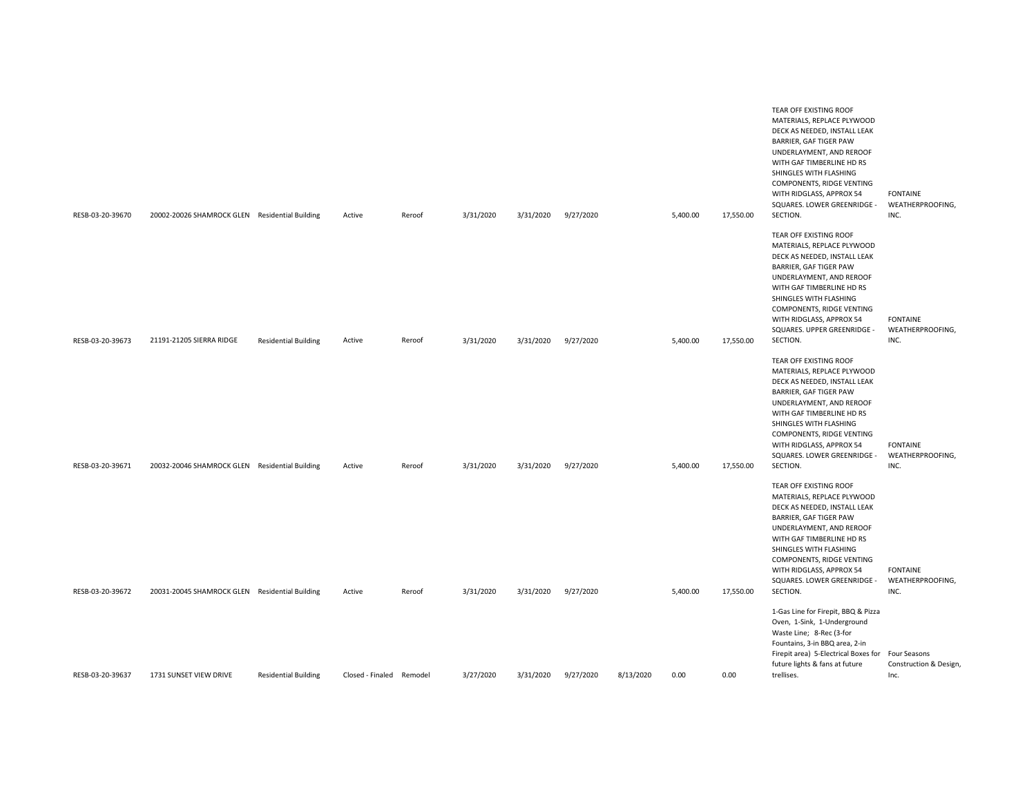| RESB-03-20-39670 | 20002-20026 SHAMROCK GLEN Residential Building |                             | Active           | Reroof  | 3/31/2020 | 3/31/2020 | 9/27/2020 |           | 5,400.00 | 17,550.00 | TEAR OFF EXISTING ROOF<br>MATERIALS, REPLACE PLYWOOD<br>DECK AS NEEDED, INSTALL LEAK<br>BARRIER, GAF TIGER PAW<br>UNDERLAYMENT, AND REROOF<br>WITH GAF TIMBERLINE HD RS<br>SHINGLES WITH FLASHING<br>COMPONENTS, RIDGE VENTING<br>WITH RIDGLASS, APPROX 54<br>SQUARES. LOWER GREENRIDGE -<br>SECTION. | <b>FONTAINE</b><br>WEATHERPROOFING,<br>INC. |
|------------------|------------------------------------------------|-----------------------------|------------------|---------|-----------|-----------|-----------|-----------|----------|-----------|-------------------------------------------------------------------------------------------------------------------------------------------------------------------------------------------------------------------------------------------------------------------------------------------------------|---------------------------------------------|
| RESB-03-20-39673 | 21191-21205 SIERRA RIDGE                       | <b>Residential Building</b> | Active           | Reroof  | 3/31/2020 | 3/31/2020 | 9/27/2020 |           | 5,400.00 | 17,550.00 | TEAR OFF EXISTING ROOF<br>MATERIALS, REPLACE PLYWOOD<br>DECK AS NEEDED, INSTALL LEAK<br>BARRIER, GAF TIGER PAW<br>UNDERLAYMENT, AND REROOF<br>WITH GAF TIMBERLINE HD RS<br>SHINGLES WITH FLASHING<br>COMPONENTS, RIDGE VENTING<br>WITH RIDGLASS, APPROX 54<br>SQUARES. UPPER GREENRIDGE -<br>SECTION. | <b>FONTAINE</b><br>WEATHERPROOFING,<br>INC. |
| RESB-03-20-39671 | 20032-20046 SHAMROCK GLEN Residential Building |                             | Active           | Reroof  | 3/31/2020 | 3/31/2020 | 9/27/2020 |           | 5,400.00 | 17,550.00 | TEAR OFF EXISTING ROOF<br>MATERIALS, REPLACE PLYWOOD<br>DECK AS NEEDED, INSTALL LEAK<br>BARRIER, GAF TIGER PAW<br>UNDERLAYMENT, AND REROOF<br>WITH GAF TIMBERLINE HD RS<br>SHINGLES WITH FLASHING<br>COMPONENTS, RIDGE VENTING<br>WITH RIDGLASS, APPROX 54<br>SQUARES. LOWER GREENRIDGE -<br>SECTION. | <b>FONTAINE</b><br>WEATHERPROOFING,<br>INC. |
| RESB-03-20-39672 | 20031-20045 SHAMROCK GLEN Residential Building |                             | Active           | Reroof  | 3/31/2020 | 3/31/2020 | 9/27/2020 |           | 5,400.00 | 17,550.00 | TEAR OFF EXISTING ROOF<br>MATERIALS, REPLACE PLYWOOD<br>DECK AS NEEDED, INSTALL LEAK<br>BARRIER, GAF TIGER PAW<br>UNDERLAYMENT, AND REROOF<br>WITH GAF TIMBERLINE HD RS<br>SHINGLES WITH FLASHING<br>COMPONENTS, RIDGE VENTING<br>WITH RIDGLASS, APPROX 54<br>SQUARES. LOWER GREENRIDGE -<br>SECTION. | <b>FONTAINE</b><br>WEATHERPROOFING,<br>INC. |
| RESB-03-20-39637 | 1731 SUNSET VIEW DRIVE                         | <b>Residential Building</b> | Closed - Finaled | Remodel | 3/27/2020 | 3/31/2020 | 9/27/2020 | 8/13/2020 | 0.00     | 0.00      | 1-Gas Line for Firepit, BBQ & Pizza<br>Oven, 1-Sink, 1-Underground<br>Waste Line; 8-Rec (3-for<br>Fountains, 3-in BBQ area, 2-in<br>Firepit area) 5-Electrical Boxes for Four Seasons<br>future lights & fans at future<br>trellises.                                                                 | Construction & Design,<br>Inc.              |